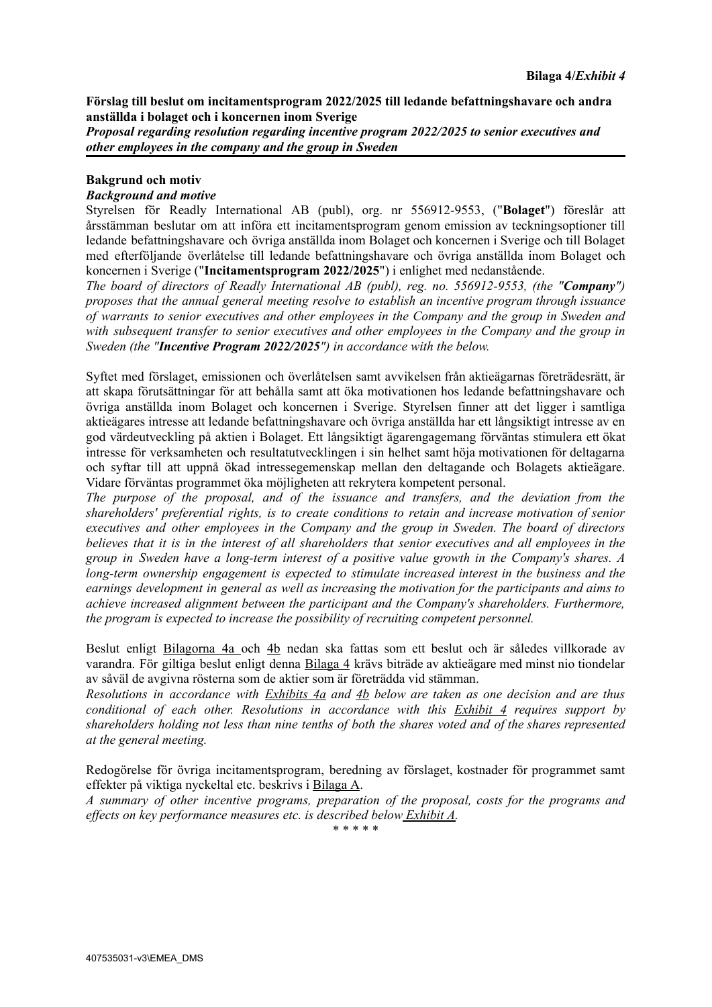**Förslag till beslut om incitamentsprogram 2022/2025 till ledande befattningshavare och andra anställda i bolaget och i koncernen inom Sverige**

*Proposal regarding resolution regarding incentive program 2022/2025 to senior executives and other employees in the company and the group in Sweden*

#### **Bakgrund och motiv**

#### *Background and motive*

Styrelsen för Readly International AB (publ), org. nr 556912-9553, ("**Bolaget**") föreslår att årsstämman beslutar om att införa ett incitamentsprogram genom emission av teckningsoptioner till ledande befattningshavare och övriga anställda inom Bolaget och koncernen i Sverige och till Bolaget med efterföljande överlåtelse till ledande befattningshavare och övriga anställda inom Bolaget och koncernen i Sverige ("**Incitamentsprogram 2022/2025**") i enlighet med nedanstående.

*The board of directors of Readly International AB (publ), reg. no. 556912-9553, (the "Company") proposes that the annual general meeting resolve to establish an incentive program through issuance of warrants to senior executives and other employees in the Company and the group in Sweden and with subsequent transfer to senior executives and other employees in the Company and the group in Sweden (the "Incentive Program 2022/2025") in accordance with the below.*

Syftet med förslaget, emissionen och överlåtelsen samt avvikelsen från aktieägarnas företrädesrätt, är att skapa förutsättningar för att behålla samt att öka motivationen hos ledande befattningshavare och övriga anställda inom Bolaget och koncernen i Sverige. Styrelsen finner att det ligger i samtliga aktieägares intresse att ledande befattningshavare och övriga anställda har ett långsiktigt intresse av en god värdeutveckling på aktien i Bolaget. Ett långsiktigt ägarengagemang förväntas stimulera ett ökat intresse för verksamheten och resultatutvecklingen i sin helhet samt höja motivationen för deltagarna och syftar till att uppnå ökad intressegemenskap mellan den deltagande och Bolagets aktieägare. Vidare förväntas programmet öka möjligheten att rekrytera kompetent personal.

*The purpose of the proposal, and of the issuance and transfers, and the deviation from the shareholders' preferential rights, is to create conditions to retain and increase motivation of senior executives and other employees in the Company and the group in Sweden. The board of directors* believes that it is in the interest of all shareholders that senior executives and all employees in the *group in Sweden have a long-term interest of a positive value growth in the Company's shares. A long-term ownership engagement is expected to stimulate increased interest in the business and the earnings development in general as well as increasing the motivation for the participants and aims to achieve increased alignment between the participant and the Company's shareholders. Furthermore, the program is expected to increase the possibility of recruiting competent personnel.*

Beslut enligt Bilagorna 4a och 4b nedan ska fattas som ett beslut och är således villkorade av varandra. För giltiga beslut enligt denna Bilaga 4 krävs biträde av aktieägare med minst nio tiondelar av såväl de avgivna rösterna som de aktier som är företrädda vid stämman.

*Resolutions in accordance with Exhibits 4a and 4b below are taken as one decision and are thus conditional of each other. Resolutions in accordance with this Exhibit 4 requires support by shareholders holding not less than nine tenths of both the shares voted and of the shares represented at the general meeting.*

Redogörelse för övriga incitamentsprogram, beredning av förslaget, kostnader för programmet samt effekter på viktiga nyckeltal etc. beskrivs i Bilaga A.

*A summary of other incentive programs, preparation of the proposal, costs for the programs and ef ects on key performance measures etc. is described below Exhibit A.*

\* \* \* \* \*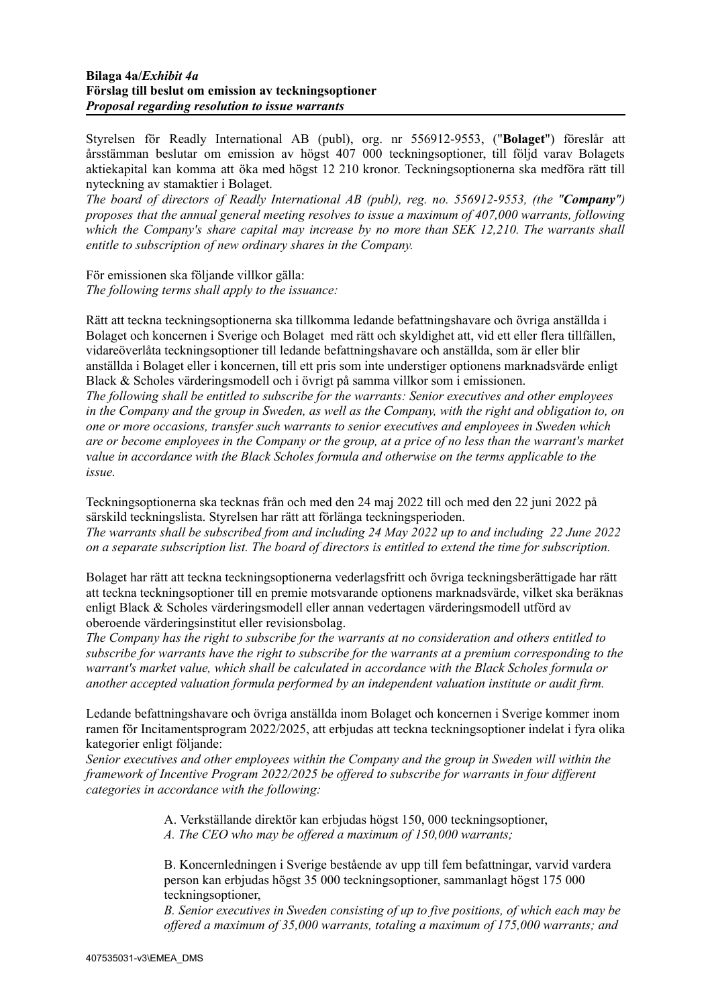## **Bilaga 4a/***Exhibit 4a* **Förslag till beslut om emission av teckningsoptioner** *Proposal regarding resolution to issue warrants*

Styrelsen för Readly International AB (publ), org. nr 556912-9553, ("**Bolaget**") föreslår att årsstämman beslutar om emission av högst 407 000 teckningsoptioner, till följd varav Bolagets aktiekapital kan komma att öka med högst 12 210 kronor. Teckningsoptionerna ska medföra rätt till nyteckning av stamaktier i Bolaget.

*The board of directors of Readly International AB (publ), reg. no. 556912-9553, (the "Company") proposes that the annual general meeting resolves to issue a maximum of 407,000 warrants, following which the Company's share capital may increase by no more than SEK 12,210. The warrants shall entitle to subscription of new ordinary shares in the Company.*

För emissionen ska följande villkor gälla: *The following terms shall apply to the issuance:*

Rätt att teckna teckningsoptionerna ska tillkomma ledande befattningshavare och övriga anställda i Bolaget och koncernen i Sverige och Bolaget med rätt och skyldighet att, vid ett eller flera tillfällen, vidareöverlåta teckningsoptioner till ledande befattningshavare och anställda, som är eller blir anställda i Bolaget eller i koncernen, till ett pris som inte understiger optionens marknadsvärde enligt Black & Scholes värderingsmodell och i övrigt på samma villkor som i emissionen.

*The following shall be entitled to subscribe for the warrants: Senior executives and other employees* in the Company and the group in Sweden, as well as the Company, with the right and obligation to, on *one or more occasions, transfer such warrants to senior executives and employees in Sweden which* are or become employees in the Company or the group, at a price of no less than the warrant's market *value in accordance with the Black Scholes formula and otherwise on the terms applicable to the issue.*

Teckningsoptionerna ska tecknas från och med den 24 maj 2022 till och med den 22 juni 2022 på särskild teckningslista. Styrelsen har rätt att förlänga teckningsperioden.

*The warrants shall be subscribed from and including 24 May 2022 up to and including 22 June 2022 on a separate subscription list. The board of directors is entitled to extend the time for subscription.*

Bolaget har rätt att teckna teckningsoptionerna vederlagsfritt och övriga teckningsberättigade har rätt att teckna teckningsoptioner till en premie motsvarande optionens marknadsvärde, vilket ska beräknas enligt Black & Scholes värderingsmodell eller annan vedertagen värderingsmodell utförd av oberoende värderingsinstitut eller revisionsbolag.

*The Company has the right to subscribe for the warrants at no consideration and others entitled to subscribe for warrants have the right to subscribe for the warrants at a premium corresponding to the warrant's market value, which shall be calculated in accordance with the Black Scholes formula or another accepted valuation formula performed by an independent valuation institute or audit firm.*

Ledande befattningshavare och övriga anställda inom Bolaget och koncernen i Sverige kommer inom ramen för Incitamentsprogram 2022/2025, att erbjudas att teckna teckningsoptioner indelat i fyra olika kategorier enligt följande:

*Senior executives and other employees within the Company and the group in Sweden will within the framework of Incentive Program 2022/2025 be of ered to subscribe for warrants in four dif erent categories in accordance with the following:*

A. Verkställande direktör kan erbjudas högst 150, 000 teckningsoptioner,

*A. The CEO who may be of ered a maximum of 150,000 warrants;*

B. Koncernledningen i Sverige bestående av upp till fem befattningar, varvid vardera person kan erbjudas högst 35 000 teckningsoptioner, sammanlagt högst 175 000 teckningsoptioner,

*B. Senior executives in Sweden consisting of up to five positions, of which each may be of ered a maximum of 35,000 warrants, totaling a maximum of 175,000 warrants; and*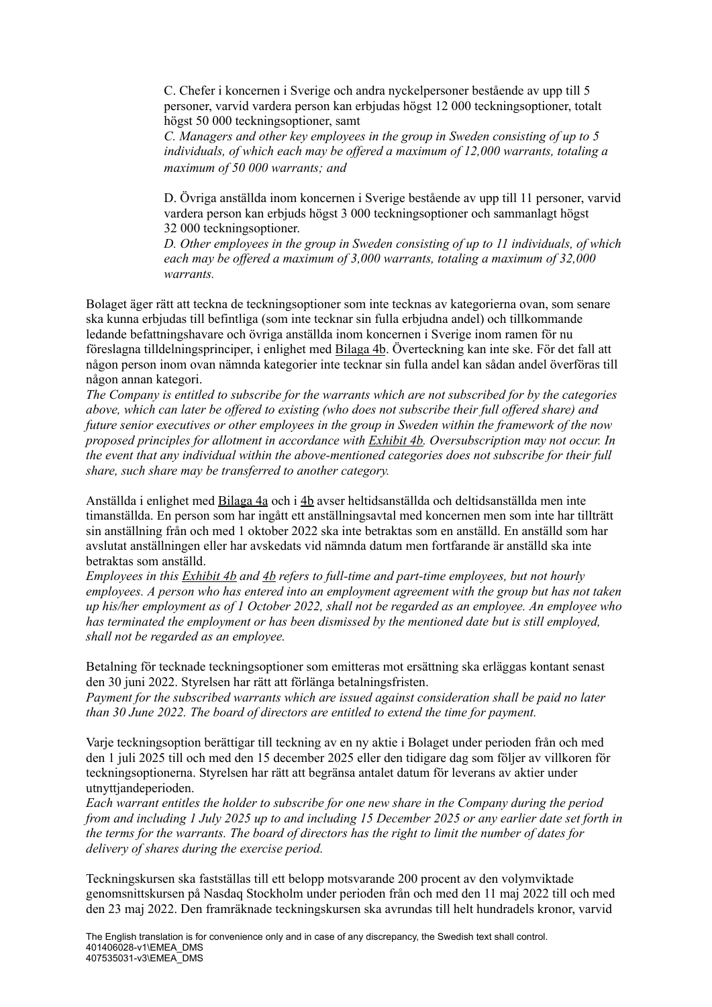C. Chefer i koncernen i Sverige och andra nyckelpersoner bestående av upp till 5 personer, varvid vardera person kan erbjudas högst 12 000 teckningsoptioner, totalt högst 50 000 teckningsoptioner, samt

*C. Managers and other key employees in the group in Sweden consisting of up to 5 individuals, of which each may be of ered a maximum of 12,000 warrants, totaling a maximum of 50 000 warrants; and*

D. Övriga anställda inom koncernen i Sverige bestående av upp till 11 personer, varvid vardera person kan erbjuds högst 3 000 teckningsoptioner och sammanlagt högst 32 000 teckningsoptioner.

*D. Other employees in the group in Sweden consisting of up to 11 individuals, of which each may be of ered a maximum of 3,000 warrants, totaling a maximum of 32,000 warrants.*

Bolaget äger rätt att teckna de teckningsoptioner som inte tecknas av kategorierna ovan, som senare ska kunna erbjudas till befintliga (som inte tecknar sin fulla erbjudna andel) och tillkommande ledande befattningshavare och övriga anställda inom koncernen i Sverige inom ramen för nu föreslagna tilldelningsprinciper, i enlighet med Bilaga 4b. Överteckning kan inte ske. För det fall att någon person inom ovan nämnda kategorier inte tecknar sin fulla andel kan sådan andel överföras till någon annan kategori.

*The Company is entitled to subscribe for the warrants which are not subscribed for by the categories* above, which can later be offered to existing (who does not subscribe their full offered share) and *future senior executives or other employees in the group in Sweden within the framework of the now proposed principles for allotment in accordance with Exhibit 4b. Oversubscription may not occur. In the event that any individual within the above-mentioned categories does not subscribe for their full share, such share may be transferred to another category.*

Anställda i enlighet med Bilaga 4a och i 4b avser heltidsanställda och deltidsanställda men inte timanställda. En person som har ingått ett anställningsavtal med koncernen men som inte har tillträtt sin anställning från och med 1 oktober 2022 ska inte betraktas som en anställd. En anställd som har avslutat anställningen eller har avskedats vid nämnda datum men fortfarande är anställd ska inte betraktas som anställd.

*Employees in this Exhibit 4b and 4b refers to full-time and part-time employees, but not hourly employees. A person who has entered into an employment agreement with the group but has not taken up his/her employment as of 1 October 2022, shall not be regarded as an employee. An employee who has terminated the employment or has been dismissed by the mentioned date but is still employed, shall not be regarded as an employee.*

Betalning för tecknade teckningsoptioner som emitteras mot ersättning ska erläggas kontant senast den 30 juni 2022. Styrelsen har rätt att förlänga betalningsfristen.

*Payment for the subscribed warrants which are issued against consideration shall be paid no later than 30 June 2022. The board of directors are entitled to extend the time for payment.*

Varje teckningsoption berättigar till teckning av en ny aktie i Bolaget under perioden från och med den 1 juli 2025 till och med den 15 december 2025 eller den tidigare dag som följer av villkoren för teckningsoptionerna. Styrelsen har rätt att begränsa antalet datum för leverans av aktier under utnyttjandeperioden.

*Each warrant entitles the holder to subscribe for one new share in the Company during the period* from and including 1 July 2025 up to and including 15 December 2025 or any earlier date set forth in the terms for the warrants. The board of directors has the right to limit the number of dates for *delivery of shares during the exercise period.*

Teckningskursen ska fastställas till ett belopp motsvarande 200 procent av den volymviktade genomsnittskursen på Nasdaq Stockholm under perioden från och med den 11 maj 2022 till och med den 23 maj 2022. Den framräknade teckningskursen ska avrundas till helt hundradels kronor, varvid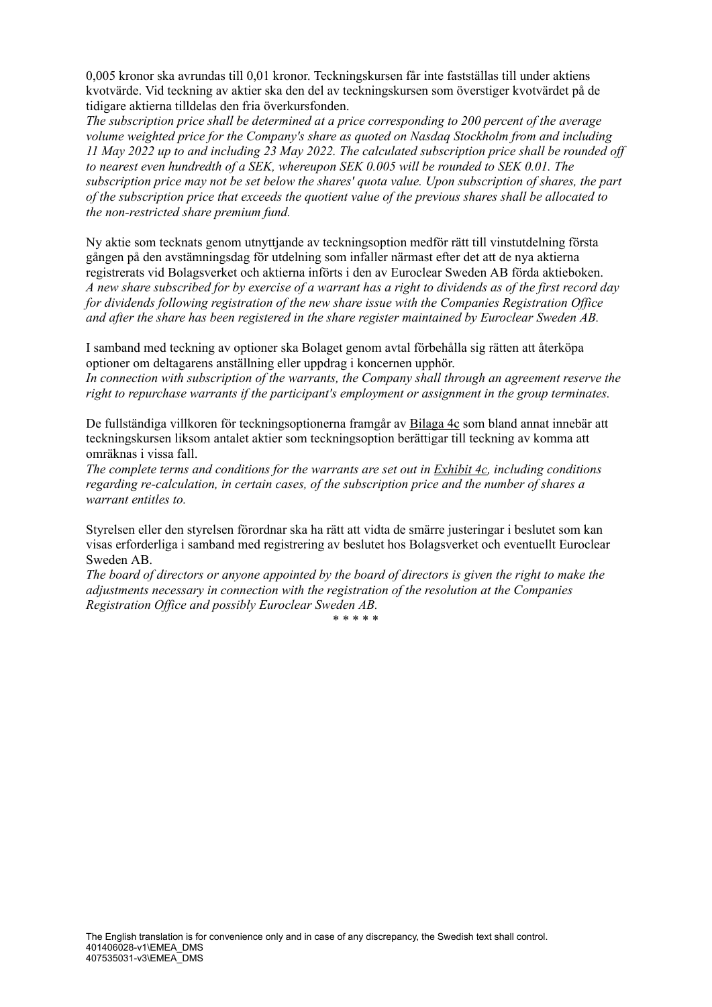0,005 kronor ska avrundas till 0,01 kronor. Teckningskursen får inte fastställas till under aktiens kvotvärde. Vid teckning av aktier ska den del av teckningskursen som överstiger kvotvärdet på de tidigare aktierna tilldelas den fria överkursfonden.

*The subscription price shall be determined at a price corresponding to 200 percent of the average volume weighted price for the Company's share as quoted on Nasdaq Stockholm from and including 11 May 2022 up to and including 23 May 2022. The calculated subscription price shall be rounded of to nearest even hundredth of a SEK, whereupon SEK 0.005 will be rounded to SEK 0.01. The subscription price may not be set below the shares' quota value. Upon subscription of shares, the part of the subscription price that exceeds the quotient value of the previous shares shall be allocated to the non-restricted share premium fund.*

Ny aktie som tecknats genom utnyttjande av teckningsoption medför rätt till vinstutdelning första gången på den avstämningsdag för utdelning som infaller närmast efter det att de nya aktierna registrerats vid Bolagsverket och aktierna införts i den av Euroclear Sweden AB förda aktieboken. A new share subscribed for by exercise of a warrant has a right to dividends as of the first record day *for dividends following registration of the new share issue with the Companies Registration Of ice and after the share has been registered in the share register maintained by Euroclear Sweden AB.*

I samband med teckning av optioner ska Bolaget genom avtal förbehålla sig rätten att återköpa optioner om deltagarens anställning eller uppdrag i koncernen upphör.

*In connection with subscription of the warrants, the Company shall through an agreement reserve the right to repurchase warrants if the participant's employment or assignment in the group terminates.*

De fullständiga villkoren för teckningsoptionerna framgår av Bilaga 4c som bland annat innebär att teckningskursen liksom antalet aktier som teckningsoption berättigar till teckning av komma att omräknas i vissa fall.

*The complete terms and conditions for the warrants are set out in Exhibit 4c, including conditions regarding re-calculation, in certain cases, of the subscription price and the number of shares a warrant entitles to.*

Styrelsen eller den styrelsen förordnar ska ha rätt att vidta de smärre justeringar i beslutet som kan visas erforderliga i samband med registrering av beslutet hos Bolagsverket och eventuellt Euroclear Sweden AB.

The board of directors or anyone appointed by the board of directors is given the right to make the *adjustments necessary in connection with the registration of the resolution at the Companies Registration Of ice and possibly Euroclear Sweden AB.*

\* \* \* \* \*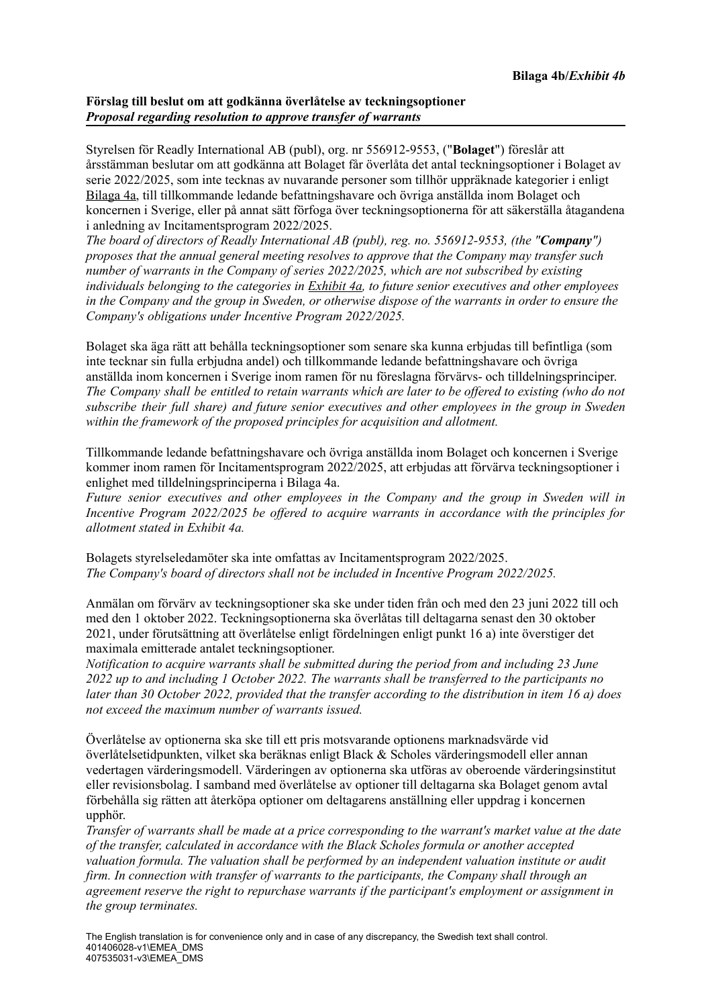# **Förslag till beslut om att godkänna överlåtelse av teckningsoptioner** *Proposal regarding resolution to approve transfer of warrants*

Styrelsen för Readly International AB (publ), org. nr 556912-9553, ("**Bolaget**") föreslår att årsstämman beslutar om att godkänna att Bolaget får överlåta det antal teckningsoptioner i Bolaget av serie 2022/2025, som inte tecknas av nuvarande personer som tillhör uppräknade kategorier i enligt Bilaga 4a, till tillkommande ledande befattningshavare och övriga anställda inom Bolaget och koncernen i Sverige, eller på annat sätt förfoga över teckningsoptionerna för att säkerställa åtagandena i anledning av Incitamentsprogram 2022/2025.

*The board of directors of Readly International AB (publ), reg. no. 556912-9553, (the "Company") proposes that the annual general meeting resolves to approve that the Company may transfer such number of warrants in the Company of series 2022/2025, which are not subscribed by existing individuals belonging to the categories in Exhibit 4a, to future senior executives and other employees* in the Company and the group in Sweden, or otherwise dispose of the warrants in order to ensure the *Company's obligations under Incentive Program 2022/2025.*

Bolaget ska äga rätt att behålla teckningsoptioner som senare ska kunna erbjudas till befintliga (som inte tecknar sin fulla erbjudna andel) och tillkommande ledande befattningshavare och övriga anställda inom koncernen i Sverige inom ramen för nu föreslagna förvärvs- och tilldelningsprinciper. The Company shall be entitled to retain warrants which are later to be offered to existing (who do not *subscribe their full share) and future senior executives and other employees in the group in Sweden within the framework of the proposed principles for acquisition and allotment.*

Tillkommande ledande befattningshavare och övriga anställda inom Bolaget och koncernen i Sverige kommer inom ramen för Incitamentsprogram 2022/2025, att erbjudas att förvärva teckningsoptioner i enlighet med tilldelningsprinciperna i Bilaga 4a.

*Future senior executives and other employees in the Company and the group in Sweden will in Incentive Program 2022/2025 be of ered to acquire warrants in accordance with the principles for allotment stated in Exhibit 4a.*

Bolagets styrelseledamöter ska inte omfattas av Incitamentsprogram 2022/2025. *The Company's board of directors shall not be included in Incentive Program 2022/2025.*

Anmälan om förvärv av teckningsoptioner ska ske under tiden från och med den 23 juni 2022 till och med den 1 oktober 2022. Teckningsoptionerna ska överlåtas till deltagarna senast den 30 oktober 2021, under förutsättning att överlåtelse enligt fördelningen enligt punkt 16 a) inte överstiger det maximala emitterade antalet teckningsoptioner.

*Notification to acquire warrants shall be submitted during the period from and including 23 June 2022 up to and including 1 October 2022. The warrants shall be transferred to the participants no* later than 30 October 2022, provided that the transfer according to the distribution in item 16 a) does *not exceed the maximum number of warrants issued.*

Överlåtelse av optionerna ska ske till ett pris motsvarande optionens marknadsvärde vid överlåtelsetidpunkten, vilket ska beräknas enligt Black & Scholes värderingsmodell eller annan vedertagen värderingsmodell. Värderingen av optionerna ska utföras av oberoende värderingsinstitut eller revisionsbolag. I samband med överlåtelse av optioner till deltagarna ska Bolaget genom avtal förbehålla sig rätten att återköpa optioner om deltagarens anställning eller uppdrag i koncernen upphör.

Transfer of warrants shall be made at a price corresponding to the warrant's market value at the date *of the transfer, calculated in accordance with the Black Scholes formula or another accepted valuation formula. The valuation shall be performed by an independent valuation institute or audit firm. In connection with transfer of warrants to the participants, the Company shall through an agreement reserve the right to repurchase warrants if the participant's employment or assignment in the group terminates.*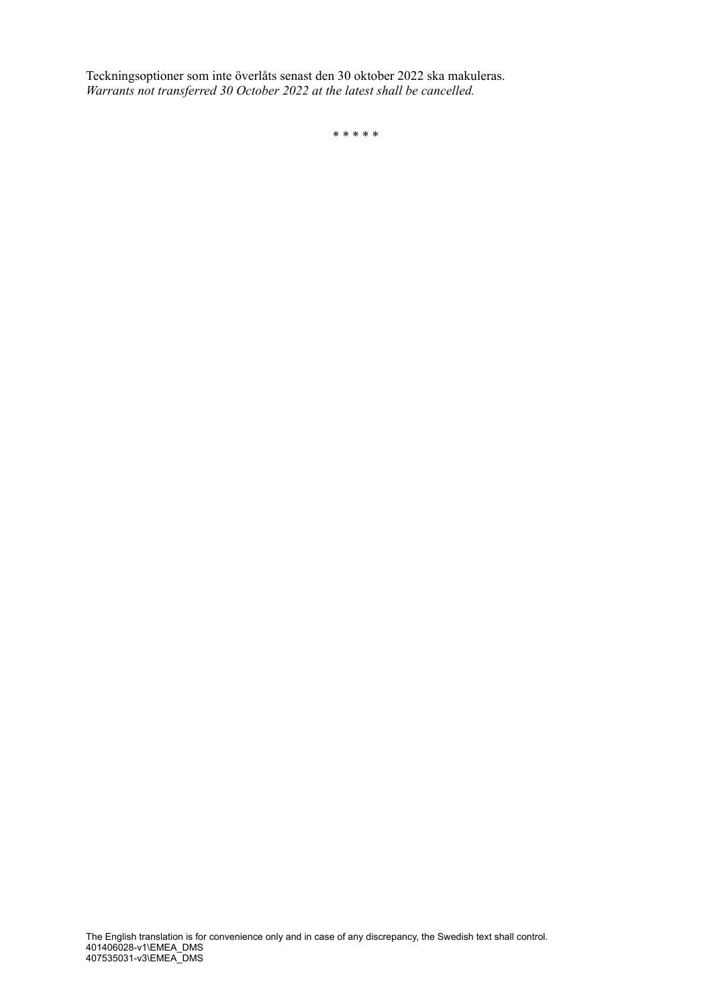Teckningsoptioner som inte överlåts senast den 30 oktober 2022 ska makuleras. *Warrants not transferred 30 October 2022 at the latest shall be cancelled.*

\* \* \* \* \*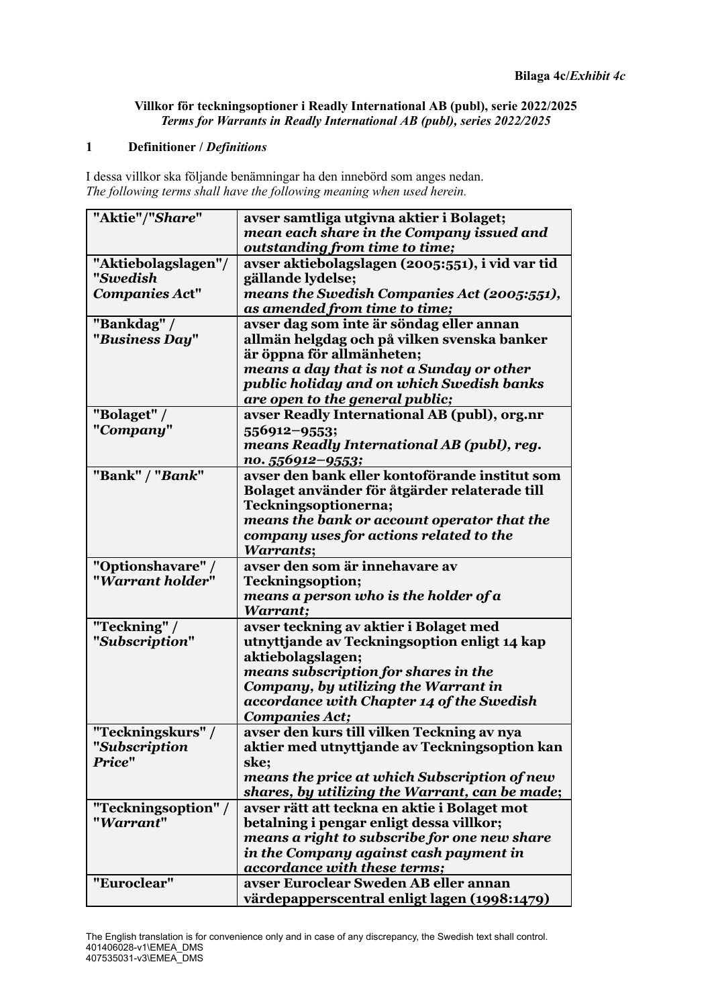**Villkor för teckningsoptioner i Readly International AB (publ), serie 2022/2025** *Terms for Warrants in Readly International AB (publ), series 2022/2025*

# **1 Definitioner /** *Definitions*

I dessa villkor ska följande benämningar ha den innebörd som anges nedan. *The following terms shall have the following meaning when used herein.*

| "Aktie"/"Share"         | avser samtliga utgivna aktier i Bolaget;<br>mean each share in the Company issued and |
|-------------------------|---------------------------------------------------------------------------------------|
|                         | outstanding from time to time;                                                        |
| "Aktiebolagslagen"/     | avser aktiebolagslagen (2005:551), i vid var tid                                      |
| "Swedish                | gällande lydelse;                                                                     |
| Companies Act"          | means the Swedish Companies Act (2005:551),<br>as amended from time to time;          |
| "Bankdag" /             | avser dag som inte är söndag eller annan                                              |
| "Business Day"          | allmän helgdag och på vilken svenska banker<br>är öppna för allmänheten;              |
|                         | means a day that is not a Sunday or other                                             |
|                         | public holiday and on which Swedish banks                                             |
|                         | are open to the general public;                                                       |
| "Bolaget" /             | avser Readly International AB (publ), org.nr                                          |
| "Company"               | 556912-9553;                                                                          |
|                         | means Readly International AB (publ), reg.                                            |
|                         | no. 556912-9553;                                                                      |
| "Bank" / "Bank"         | avser den bank eller kontoförande institut som                                        |
|                         | Bolaget använder för åtgärder relaterade till                                         |
|                         | Teckningsoptionerna;                                                                  |
|                         | means the bank or account operator that the                                           |
|                         | company uses for actions related to the                                               |
|                         | <b>Warrants</b> ;                                                                     |
| "Optionshavare" /       | avser den som är innehavare av                                                        |
| "Warrant holder"        | Teckningsoption;                                                                      |
|                         | means a person who is the holder of a<br>Warrant;                                     |
| "Teckning" /            | avser teckning av aktier i Bolaget med                                                |
| "Subscription"          | utnyttjande av Teckningsoption enligt 14 kap                                          |
|                         | aktiebolagslagen;                                                                     |
|                         | means subscription for shares in the                                                  |
|                         | Company, by utilizing the Warrant in                                                  |
|                         | accordance with Chapter 14 of the Swedish                                             |
|                         | <b>Companies Act;</b>                                                                 |
| "Teckningskurs" /       | avser den kurs till vilken Teckning av nya                                            |
| "Subscription<br>Price" | aktier med utnyttjande av Teckningsoption kan<br>ske;                                 |
|                         | means the price at which Subscription of new                                          |
|                         | shares, by utilizing the Warrant, can be made;                                        |
| "Teckningsoption" /     | avser rätt att teckna en aktie i Bolaget mot                                          |
| "Warrant"               | betalning i pengar enligt dessa villkor;                                              |
|                         | means a right to subscribe for one new share                                          |
|                         | in the Company against cash payment in                                                |
|                         | accordance with these terms;                                                          |
| "Euroclear"             | avser Euroclear Sweden AB eller annan                                                 |
|                         | värdepapperscentral enligt lagen (1998:1479)                                          |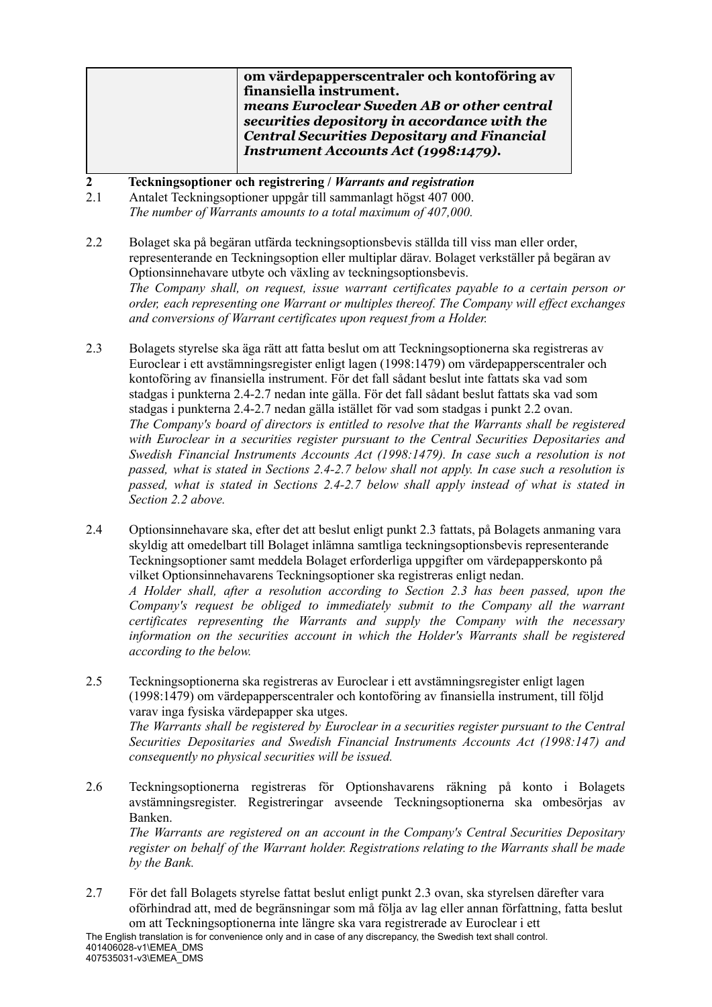| finansiella instrument.<br>means Euroclear Sweden AB or other central<br>securities depository in accordance with the<br><b>Central Securities Depositary and Financial</b><br>Instrument Accounts Act (1998:1479). |
|---------------------------------------------------------------------------------------------------------------------------------------------------------------------------------------------------------------------|
|---------------------------------------------------------------------------------------------------------------------------------------------------------------------------------------------------------------------|

- **2 Teckningsoptioner och registrering /** *Warrants and registration*
- 2.1 Antalet Teckningsoptioner uppgår till sammanlagt högst 407 000. *The number of Warrants amounts to a total maximum of 407,000.*
- 2.2 Bolaget ska på begäran utfärda teckningsoptionsbevis ställda till viss man eller order, representerande en Teckningsoption eller multiplar därav. Bolaget verkställer på begäran av Optionsinnehavare utbyte och växling av teckningsoptionsbevis. *The Company shall, on request, issue warrant certificates payable to a certain person or order, each representing one Warrant or multiples thereof. The Company will ef ect exchanges and conversions of Warrant certificates upon request from a Holder.*
- 2.3 Bolagets styrelse ska äga rätt att fatta beslut om att Teckningsoptionerna ska registreras av Euroclear i ett avstämningsregister enligt lagen (1998:1479) om värdepapperscentraler och kontoföring av finansiella instrument. För det fall sådant beslut inte fattats ska vad som stadgas i punkterna 2.4-2.7 nedan inte gälla. För det fall sådant beslut fattats ska vad som stadgas i punkterna 2.4-2.7 nedan gälla istället för vad som stadgas i punkt 2.2 ovan. *The Company's board of directors is entitled to resolve that the Warrants shall be registered with Euroclear in a securities register pursuant to the Central Securities Depositaries and Swedish Financial Instruments Accounts Act (1998:1479). In case such a resolution is not passed, what is stated in Sections 2.4-2.7 below shall not apply. In case such a resolution is passed, what is stated in Sections 2.4-2.7 below shall apply instead of what is stated in Section 2.2 above.*
- 2.4 Optionsinnehavare ska, efter det att beslut enligt punkt 2.3 fattats, på Bolagets anmaning vara skyldig att omedelbart till Bolaget inlämna samtliga teckningsoptionsbevis representerande Teckningsoptioner samt meddela Bolaget erforderliga uppgifter om värdepapperskonto på vilket Optionsinnehavarens Teckningsoptioner ska registreras enligt nedan.

*A Holder shall, after a resolution according to Section 2.3 has been passed, upon the Company's request be obliged to immediately submit to the Company all the warrant certificates representing the Warrants and supply the Company with the necessary information on the securities account in which the Holder's Warrants shall be registered according to the below.*

- 2.5 Teckningsoptionerna ska registreras av Euroclear i ett avstämningsregister enligt lagen (1998:1479) om värdepapperscentraler och kontoföring av finansiella instrument, till följd varav inga fysiska värdepapper ska utges. *The Warrants shall be registered by Euroclear in a securities register pursuant to the Central Securities Depositaries and Swedish Financial Instruments Accounts Act (1998:147) and consequently no physical securities will be issued.*
- 2.6 Teckningsoptionerna registreras för Optionshavarens räkning på konto i Bolagets avstämningsregister. Registreringar avseende Teckningsoptionerna ska ombesörjas av Banken. *The Warrants are registered on an account in the Company's Central Securities Depositary register on behalf of the Warrant holder. Registrations relating to the Warrants shall be made by the Bank.*
- 2.7 För det fall Bolagets styrelse fattat beslut enligt punkt 2.3 ovan, ska styrelsen därefter vara oförhindrad att, med de begränsningar som må följa av lag eller annan författning, fatta beslut om att Teckningsoptionerna inte längre ska vara registrerade av Euroclear i ett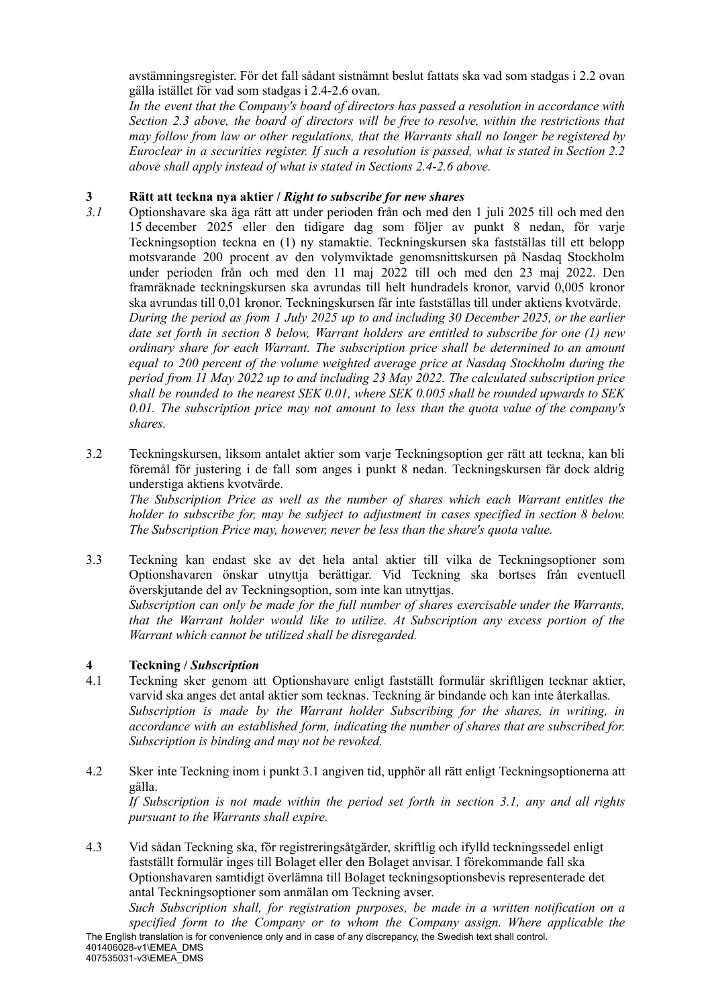avstämningsregister. För det fall sådant sistnämnt beslut fattats ska vad som stadgas i 2.2 ovan gälla istället för vad som stadgas i 2.4-2.6 ovan.

*In the event that the Company's board of directors has passed a resolution in accordance with Section 2.3 above, the board of directors will be free to resolve, within the restrictions that may follow from law or other regulations, that the Warrants shall no longer be registered by Euroclear in a securities register. If such a resolution is passed, what is stated in Section 2.2 above shall apply instead of what is stated in Sections 2.4-2.6 above.*

# **3 Rätt att teckna nya aktier /** *Right to subscribe for new shares*

- *3.1* Optionshavare ska äga rätt att under perioden från och med den 1 juli 2025 till och med den 15 december 2025 eller den tidigare dag som följer av punkt 8 nedan, för varje Teckningsoption teckna en (1) ny stamaktie. Teckningskursen ska fastställas till ett belopp motsvarande 200 procent av den volymviktade genomsnittskursen på Nasdaq Stockholm under perioden från och med den 11 maj 2022 till och med den 23 maj 2022. Den framräknade teckningskursen ska avrundas till helt hundradels kronor, varvid 0,005 kronor ska avrundas till 0,01 kronor. Teckningskursen får inte fastställas till under aktiens kvotvärde. *During the period as from 1 July 2025 up to and including 30 December 2025, or the earlier date set forth in section 8 below, Warrant holders are entitled to subscribe for one (1) new ordinary share for each Warrant. The subscription price shall be determined to an amount equal to 200 percent of the volume weighted average price at Nasdaq Stockholm during the period from 11 May 2022 up to and including 23 May 2022. The calculated subscription price shall be rounded to the nearest SEK 0.01, where SEK 0.005 shall be rounded upwards to SEK 0.01. The subscription price may not amount to less than the quota value of the company's shares.*
- 3.2 Teckningskursen, liksom antalet aktier som varje Teckningsoption ger rätt att teckna, kan bli föremål för justering i de fall som anges i punkt 8 nedan. Teckningskursen får dock aldrig understiga aktiens kvotvärde.

*The Subscription Price as well as the number of shares which each Warrant entitles the holder to subscribe for, may be subject to adjustment in cases specified in section 8 below. The Subscription Price may, however, never be less than the share's quota value.*

3.3 Teckning kan endast ske av det hela antal aktier till vilka de Teckningsoptioner som Optionshavaren önskar utnyttja berättigar. Vid Teckning ska bortses från eventuell överskjutande del av Teckningsoption, som inte kan utnyttjas. *Subscription can only be made for the full number of shares exercisable under the Warrants, that the Warrant holder would like to utilize. At Subscription any excess portion of the Warrant which cannot be utilized shall be disregarded.*

# **4 Teckning /** *Subscription*

- 4.1 Teckning sker genom att Optionshavare enligt fastställt formulär skriftligen tecknar aktier, varvid ska anges det antal aktier som tecknas. Teckning är bindande och kan inte återkallas. *Subscription is made by the Warrant holder Subscribing for the shares, in writing, in accordance with an established form, indicating the number of shares that are subscribed for. Subscription is binding and may not be revoked.*
- 4.2 Sker inte Teckning inom i punkt 3.1 angiven tid, upphör all rätt enligt Teckningsoptionerna att gälla. *If Subscription is not made within the period set forth in section 3.1, any and all rights pursuant to the Warrants shall expire.*
- 4.3 Vid sådan Teckning ska, för registreringsåtgärder, skriftlig och ifylld teckningssedel enligt fastställt formulär inges till Bolaget eller den Bolaget anvisar. I förekommande fall ska Optionshavaren samtidigt överlämna till Bolaget teckningsoptionsbevis representerade det antal Teckningsoptioner som anmälan om Teckning avser.

*Such Subscription shall, for registration purposes, be made in a written notification on a specified form to the Company or to whom the Company assign. Where applicable the* The English translation is for convenience only and in case of any discrepancy, the Swedish text shall control. 401406028-v1\EMEA\_DMS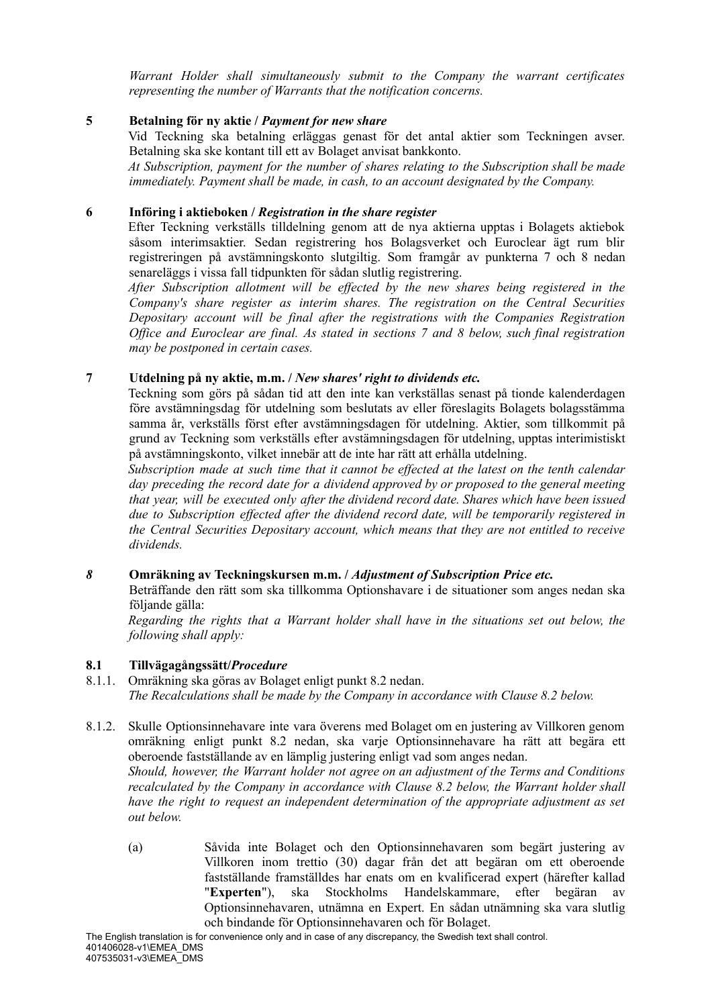*Warrant Holder shall simultaneously submit to the Company the warrant certificates representing the number of Warrants that the notification concerns.*

# **5 Betalning för ny aktie /** *Payment for new share*

Vid Teckning ska betalning erläggas genast för det antal aktier som Teckningen avser. Betalning ska ske kontant till ett av Bolaget anvisat bankkonto.

*At Subscription, payment for the number of shares relating to the Subscription shall be made immediately. Payment shall be made, in cash, to an account designated by the Company.*

## **6 Införing i aktieboken /** *Registration in the share register*

Efter Teckning verkställs tilldelning genom att de nya aktierna upptas i Bolagets aktiebok såsom interimsaktier. Sedan registrering hos Bolagsverket och Euroclear ägt rum blir registreringen på avstämningskonto slutgiltig. Som framgår av punkterna 7 och 8 nedan senareläggs i vissa fall tidpunkten för sådan slutlig registrering.

*After Subscription allotment will be ef ected by the new shares being registered in the Company's share register as interim shares. The registration on the Central Securities Depositary account will be final after the registrations with the Companies Registration Of ice and Euroclear are final. As stated in sections 7 and 8 below, such final registration may be postponed in certain cases.*

# **7 Utdelning på ny aktie, m.m. /** *New shares' right to dividends etc.*

Teckning som görs på sådan tid att den inte kan verkställas senast på tionde kalenderdagen före avstämningsdag för utdelning som beslutats av eller föreslagits Bolagets bolagsstämma samma år, verkställs först efter avstämningsdagen för utdelning. Aktier, som tillkommit på grund av Teckning som verkställs efter avstämningsdagen för utdelning, upptas interimistiskt på avstämningskonto, vilket innebär att de inte har rätt att erhålla utdelning.

*Subscription made at such time that it cannot be ef ected at the latest on the tenth calendar day preceding the record date for a dividend approved by or proposed to the general meeting that year, will be executed only after the dividend record date. Shares which have been issued due to Subscription ef ected after the dividend record date, will be temporarily registered in the Central Securities Depositary account, which means that they are not entitled to receive dividends.*

# *8* **Omräkning av Teckningskursen m.m. /** *Adjustment of Subscription Price etc.*

Beträffande den rätt som ska tillkomma Optionshavare i de situationer som anges nedan ska följande gälla:

*Regarding the rights that a Warrant holder shall have in the situations set out below, the following shall apply:*

## **8.1 Tillvägagångssätt/***Procedure*

- 8.1.1. Omräkning ska göras av Bolaget enligt punkt 8.2 nedan. *The Recalculations shall be made by the Company in accordance with Clause 8.2 below.*
- 8.1.2. Skulle Optionsinnehavare inte vara överens med Bolaget om en justering av Villkoren genom omräkning enligt punkt 8.2 nedan, ska varje Optionsinnehavare ha rätt att begära ett oberoende fastställande av en lämplig justering enligt vad som anges nedan.

*Should, however, the Warrant holder not agree on an adjustment of the Terms and Conditions recalculated by the Company in accordance with Clause 8.2 below, the Warrant holder shall have the right to request an independent determination of the appropriate adjustment as set out below.*

(a) Såvida inte Bolaget och den Optionsinnehavaren som begärt justering av Villkoren inom trettio (30) dagar från det att begäran om ett oberoende fastställande framställdes har enats om en kvalificerad expert (härefter kallad "**Experten**"), ska Stockholms Handelskammare, efter begäran av Optionsinnehavaren, utnämna en Expert. En sådan utnämning ska vara slutlig och bindande för Optionsinnehavaren och för Bolaget.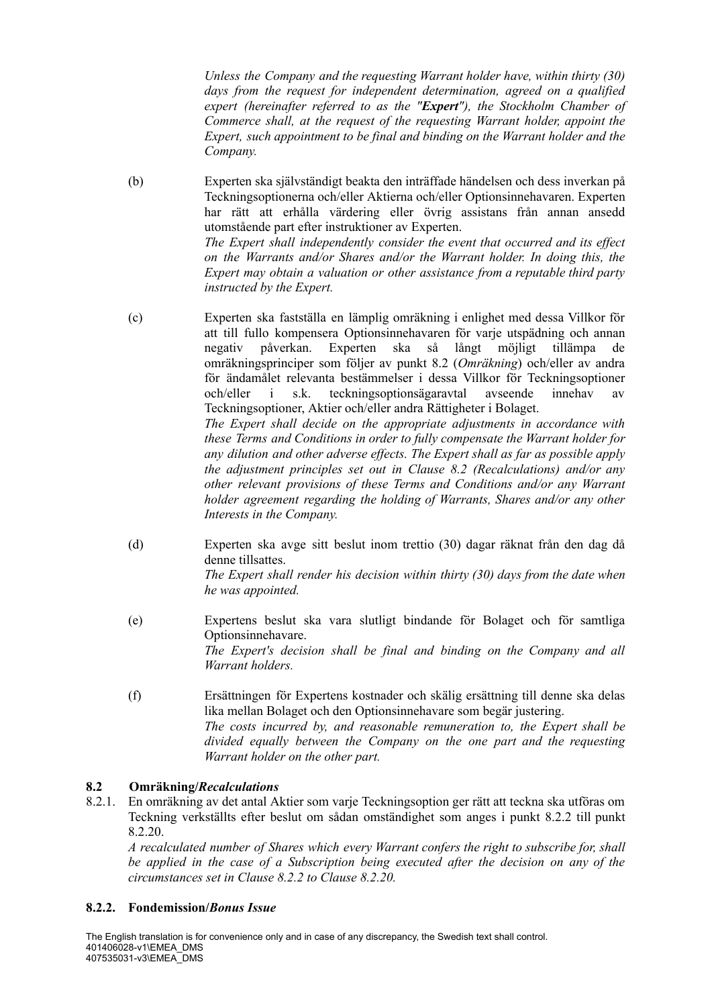*Unless the Company and the requesting Warrant holder have, within thirty (30) days from the request for independent determination, agreed on a qualified expert (hereinafter referred to as the "Expert"), the Stockholm Chamber of Commerce shall, at the request of the requesting Warrant holder, appoint the Expert, such appointment to be final and binding on the Warrant holder and the Company.*

- (b) Experten ska självständigt beakta den inträffade händelsen och dess inverkan på Teckningsoptionerna och/eller Aktierna och/eller Optionsinnehavaren. Experten har rätt att erhålla värdering eller övrig assistans från annan ansedd utomstående part efter instruktioner av Experten. *The Expert shall independently consider the event that occurred and its ef ect on the Warrants and/or Shares and/or the Warrant holder. In doing this, the Expert may obtain a valuation or other assistance from a reputable third party instructed by the Expert.*
- (c) Experten ska fastställa en lämplig omräkning i enlighet med dessa Villkor för att till fullo kompensera Optionsinnehavaren för varje utspädning och annan negativ påverkan. Experten ska så långt möjligt tillämpa de omräkningsprinciper som följer av punkt 8.2 (*Omräkning*) och/eller av andra för ändamålet relevanta bestämmelser i dessa Villkor för Teckningsoptioner och/eller i s.k. teckningsoptionsägaravtal avseende innehav av Teckningsoptioner, Aktier och/eller andra Rättigheter i Bolaget. *The Expert shall decide on the appropriate adjustments in accordance with these Terms and Conditions in order to fully compensate the Warrant holder for any dilution and other adverse ef ects. The Expert shall as far as possible apply*

*the adjustment principles set out in Clause 8.2 (Recalculations) and/or any other relevant provisions of these Terms and Conditions and/or any Warrant holder agreement regarding the holding of Warrants, Shares and/or any other Interests in the Company.*

- (d) Experten ska avge sitt beslut inom trettio (30) dagar räknat från den dag då denne tillsattes. *The Expert shall render his decision within thirty (30) days from the date when he was appointed.*
- (e) Expertens beslut ska vara slutligt bindande för Bolaget och för samtliga Optionsinnehavare. *The Expert's decision shall be final and binding on the Company and all Warrant holders.*
- (f) Ersättningen för Expertens kostnader och skälig ersättning till denne ska delas lika mellan Bolaget och den Optionsinnehavare som begär justering. *The costs incurred by, and reasonable remuneration to, the Expert shall be divided equally between the Company on the one part and the requesting Warrant holder on the other part.*

# **8.2 Omräkning/***Recalculations*

8.2.1. En omräkning av det antal Aktier som varje Teckningsoption ger rätt att teckna ska utföras om Teckning verkställts efter beslut om sådan omständighet som anges i punkt 8.2.2 till punkt 8.2.20.

*A recalculated number of Shares which every Warrant confers the right to subscribe for, shall be applied in the case of a Subscription being executed after the decision on any of the circumstances set in Clause 8.2.2 to Clause 8.2.20.*

## **8.2.2. Fondemission/***Bonus Issue*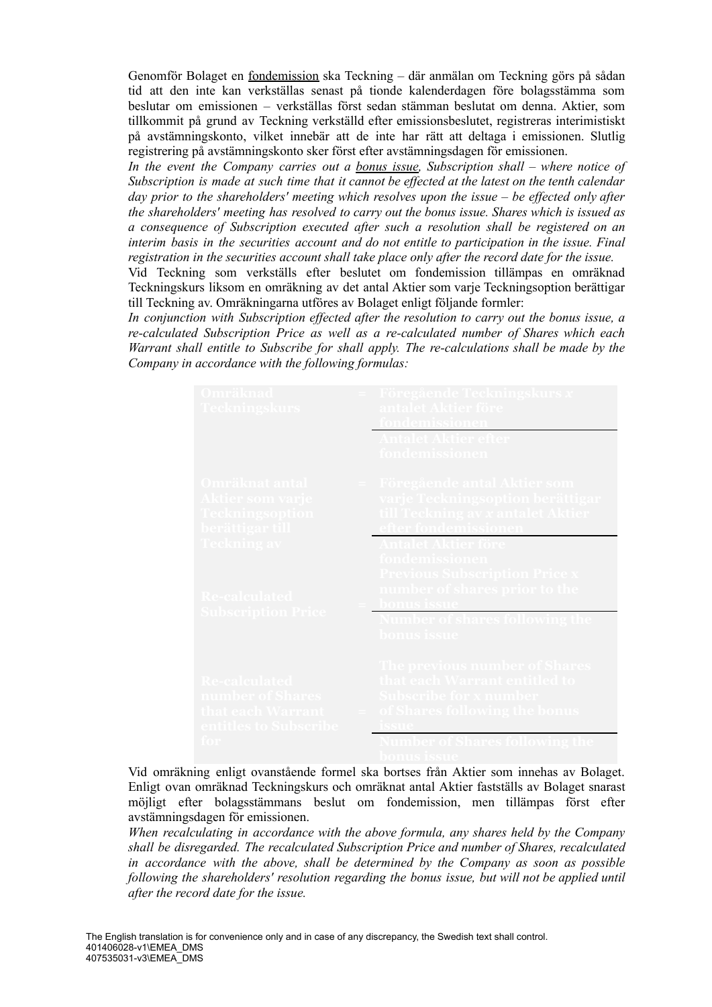Genomför Bolaget en fondemission ska Teckning – där anmälan om Teckning görs på sådan tid att den inte kan verkställas senast på tionde kalenderdagen före bolagsstämma som beslutar om emissionen – verkställas först sedan stämman beslutat om denna. Aktier, som tillkommit på grund av Teckning verkställd efter emissionsbeslutet, registreras interimistiskt på avstämningskonto, vilket innebär att de inte har rätt att deltaga i emissionen. Slutlig registrering på avstämningskonto sker först efter avstämningsdagen för emissionen.

*In the event the Company carries out a bonus issue, Subscription shall – where notice of* Subscription is made at such time that it cannot be effected at the latest on the tenth calendar *day prior to the shareholders' meeting which resolves upon the issue – be ef ected only after the shareholders' meeting has resolved to carry out the bonus issue. Shares which is issued as a consequence of Subscription executed after such a resolution shall be registered on an interim basis in the securities account and do not entitle to participation in the issue. Final registration in the securities account shall take place only after the record date for the issue.*

Vid Teckning som verkställs efter beslutet om fondemission tillämpas en omräknad Teckningskurs liksom en omräkning av det antal Aktier som varje Teckningsoption berättigar till Teckning av. Omräkningarna utföres av Bolaget enligt följande formler:

*In conjunction with Subscription ef ected after the resolution to carry out the bonus issue, a re-calculated Subscription Price as well as a re-calculated number of Shares which each Warrant shall entitle to Subscribe for shall apply. The re-calculations shall be made by the Company in accordance with the following formulas:*

| )mräknad<br><b>Teckningskurs</b>                                                              |  | <b>Föregående Teckningskurs x</b><br><b>antalet Aktier före</b>                                                                        |
|-----------------------------------------------------------------------------------------------|--|----------------------------------------------------------------------------------------------------------------------------------------|
|                                                                                               |  | <b>Antalet Aktier efter</b><br>fondemissionen                                                                                          |
| <b>Omräknat antal</b><br><b>Aktier som varje</b><br>Teckningsoption<br>berättigar till        |  | <b>Föregående antal Aktier som</b><br>varje Teckningsoption berättigar<br>till Teckning av x antalet Aktier                            |
| Teckning av I<br><b>Re-calculated</b><br><b>Subscription Price</b>                            |  | <b>Antalet Aktier före</b><br>fondemissionen<br><b>Previous Subscription Price x</b><br>number of shares prior to the<br>bonus issue - |
|                                                                                               |  | Number of shares following the<br><b>bonus</b> issue                                                                                   |
| <b>Re-calculated</b><br><b>number of Shares</b><br>that each Warrant<br>entitles to Subscribe |  | The previous number of Shares<br>that each Warrant entitled to<br><b>Subscribe for x number</b><br>of Shares following the bonus       |
| <b>TOP</b>                                                                                    |  | Number of Shares following the                                                                                                         |

Vid omräkning enligt ovanstående formel ska bortses från Aktier som innehas av Bolaget. Enligt ovan omräknad Teckningskurs och omräknat antal Aktier fastställs av Bolaget snarast möjligt efter bolagsstämmans beslut om fondemission, men tillämpas först efter avstämningsdagen för emissionen.

*When recalculating in accordance with the above formula, any shares held by the Company shall be disregarded. The recalculated Subscription Price and number of Shares, recalculated in accordance with the above, shall be determined by the Company as soon as possible following the shareholders' resolution regarding the bonus issue, but will not be applied until after the record date for the issue.*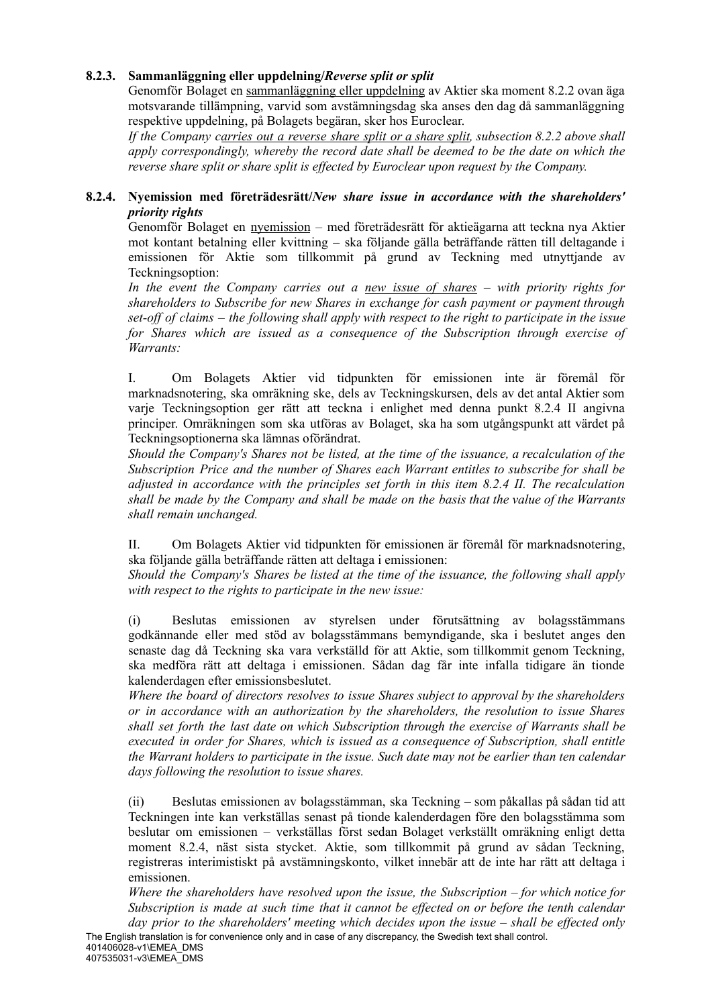# **8.2.3. Sammanläggning eller uppdelning/***Reverse split or split*

Genomför Bolaget en sammanläggning eller uppdelning av Aktier ska moment 8.2.2 ovan äga motsvarande tillämpning, varvid som avstämningsdag ska anses den dag då sammanläggning respektive uppdelning, på Bolagets begäran, sker hos Euroclear.

*If the Company carries out a reverse share split or a share split, subsection 8.2.2 above shall apply correspondingly, whereby the record date shall be deemed to be the date on which the reverse share split or share split is ef ected by Euroclear upon request by the Company.*

# **8.2.4. Nyemission med företrädesrätt/***New share issue in accordance with the shareholders' priority rights*

Genomför Bolaget en nyemission – med företrädesrätt för aktieägarna att teckna nya Aktier mot kontant betalning eller kvittning – ska följande gälla beträffande rätten till deltagande i emissionen för Aktie som tillkommit på grund av Teckning med utnyttjande av Teckningsoption:

*In the event the Company carries out a new issue of shares – with priority rights for shareholders to Subscribe for new Shares in exchange for cash payment or payment through set-of of claims – the following shall apply with respect to the right to participate in the issue for Shares which are issued as a consequence of the Subscription through exercise of Warrants:*

I. Om Bolagets Aktier vid tidpunkten för emissionen inte är föremål för marknadsnotering, ska omräkning ske, dels av Teckningskursen, dels av det antal Aktier som varje Teckningsoption ger rätt att teckna i enlighet med denna punkt 8.2.4 II angivna principer. Omräkningen som ska utföras av Bolaget, ska ha som utgångspunkt att värdet på Teckningsoptionerna ska lämnas oförändrat.

*Should the Company's Shares not be listed, at the time of the issuance, a recalculation of the Subscription Price and the number of Shares each Warrant entitles to subscribe for shall be adjusted in accordance with the principles set forth in this item 8.2.4 II. The recalculation shall be made by the Company and shall be made on the basis that the value of the Warrants shall remain unchanged.*

II. Om Bolagets Aktier vid tidpunkten för emissionen är föremål för marknadsnotering, ska följande gälla beträffande rätten att deltaga i emissionen:

*Should the Company's Shares be listed at the time of the issuance, the following shall apply with respect to the rights to participate in the new issue:*

(i) Beslutas emissionen av styrelsen under förutsättning av bolagsstämmans godkännande eller med stöd av bolagsstämmans bemyndigande, ska i beslutet anges den senaste dag då Teckning ska vara verkställd för att Aktie, som tillkommit genom Teckning, ska medföra rätt att deltaga i emissionen. Sådan dag får inte infalla tidigare än tionde kalenderdagen efter emissionsbeslutet.

*Where the board of directors resolves to issue Shares subject to approval by the shareholders or in accordance with an authorization by the shareholders, the resolution to issue Shares shall set forth the last date on which Subscription through the exercise of Warrants shall be executed in order for Shares, which is issued as a consequence of Subscription, shall entitle the Warrant holders to participate in the issue. Such date may not be earlier than ten calendar days following the resolution to issue shares.*

(ii) Beslutas emissionen av bolagsstämman, ska Teckning – som påkallas på sådan tid att Teckningen inte kan verkställas senast på tionde kalenderdagen före den bolagsstämma som beslutar om emissionen – verkställas först sedan Bolaget verkställt omräkning enligt detta moment 8.2.4, näst sista stycket. Aktie, som tillkommit på grund av sådan Teckning, registreras interimistiskt på avstämningskonto, vilket innebär att de inte har rätt att deltaga i emissionen.

*Where the shareholders have resolved upon the issue, the Subscription – for which notice for Subscription is made at such time that it cannot be ef ected on or before the tenth calendar day prior to the shareholders' meeting which decides upon the issue – shall be ef ected only*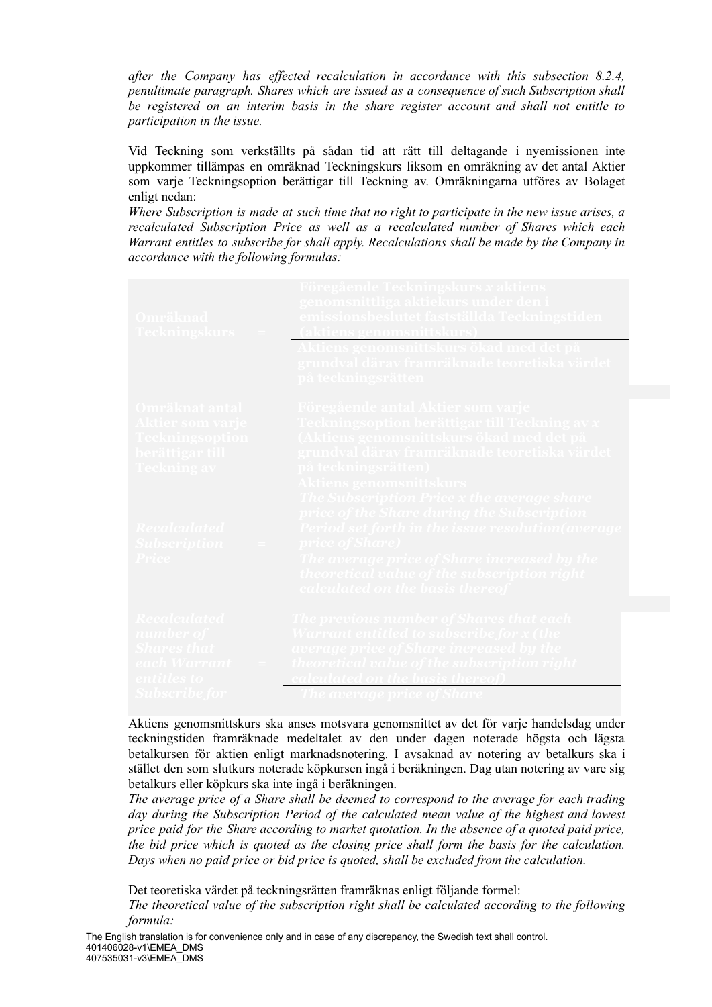*after the Company has ef ected recalculation in accordance with this subsection 8.2.4, penultimate paragraph. Shares which are issued as a consequence of such Subscription shall be registered on an interim basis in the share register account and shall not entitle to participation in the issue.*

Vid Teckning som verkställts på sådan tid att rätt till deltagande i nyemissionen inte uppkommer tillämpas en omräknad Teckningskurs liksom en omräkning av det antal Aktier som varje Teckningsoption berättigar till Teckning av. Omräkningarna utföres av Bolaget enligt nedan:

*Where Subscription is made at such time that no right to participate in the new issue arises, a recalculated Subscription Price as well as a recalculated number of Shares which each Warrant entitles to subscribe for shall apply. Recalculations shall be made by the Company in accordance with the following formulas:*

| Omräknad -<br><u>Teckningskurs</u>                                                                 | Föregående Teckningskurs x aktiens<br>genomsnittliga aktiekurs under den i<br>emissionsbeslutet fastställda Teckningstiden<br>ktiens genomsnittskurs<br>Aktiens genomsnittskurs ökad med det p<br>grundval därav framräknade teoretiska värdet<br><b>på teckningsrätten</b>                                   |
|----------------------------------------------------------------------------------------------------|---------------------------------------------------------------------------------------------------------------------------------------------------------------------------------------------------------------------------------------------------------------------------------------------------------------|
| Omräknat antal<br>Aktier som varje<br>Teckningsoption<br>berättigar till -<br><b>Teckning av I</b> | Föregående antal Aktier som varje<br>Teckningsoption berättigar till Teckning av x<br>(Aktiens genomsnittskurs ökad med det på<br>grundval därav framräknade teoretiska värdet                                                                                                                                |
| <b>Recalculated</b><br><b>Subscription</b><br>Price                                                | <b>Aktiens genomsnittskurs</b><br>The Subscription Price x the average share<br>price of the Share during the Subscription<br><b>Period set forth in the issue resolution (average</b><br>price of Share<br>The average price of Share increase <u>d by th</u><br>theoretical value of the subscription right |
| <u>Recalculated</u>                                                                                | calculated on the basis thereof<br>The previous number of Shares that each                                                                                                                                                                                                                                    |
| number of<br><b>Shares that</b><br><u>each Warrant</u><br>entitles to<br><b>Subscribe for</b>      | Warrant entitled to subscribe for <b>x</b> (the<br>average price of Share increased by the<br>theoretical value of the subscription right<br>The average price of Share                                                                                                                                       |

Aktiens genomsnittskurs ska anses motsvara genomsnittet av det för varje handelsdag under teckningstiden framräknade medeltalet av den under dagen noterade högsta och lägsta betalkursen för aktien enligt marknadsnotering. I avsaknad av notering av betalkurs ska i stället den som slutkurs noterade köpkursen ingå i beräkningen. Dag utan notering av vare sig betalkurs eller köpkurs ska inte ingå i beräkningen.

*The average price of a Share shall be deemed to correspond to the average for each trading day during the Subscription Period of the calculated mean value of the highest and lowest price paid for the Share according to market quotation. In the absence of a quoted paid price, the bid price which is quoted as the closing price shall form the basis for the calculation. Days when no paid price or bid price is quoted, shall be excluded from the calculation.*

Det teoretiska värdet på teckningsrätten framräknas enligt följande formel:

*The theoretical value of the subscription right shall be calculated according to the following formula:*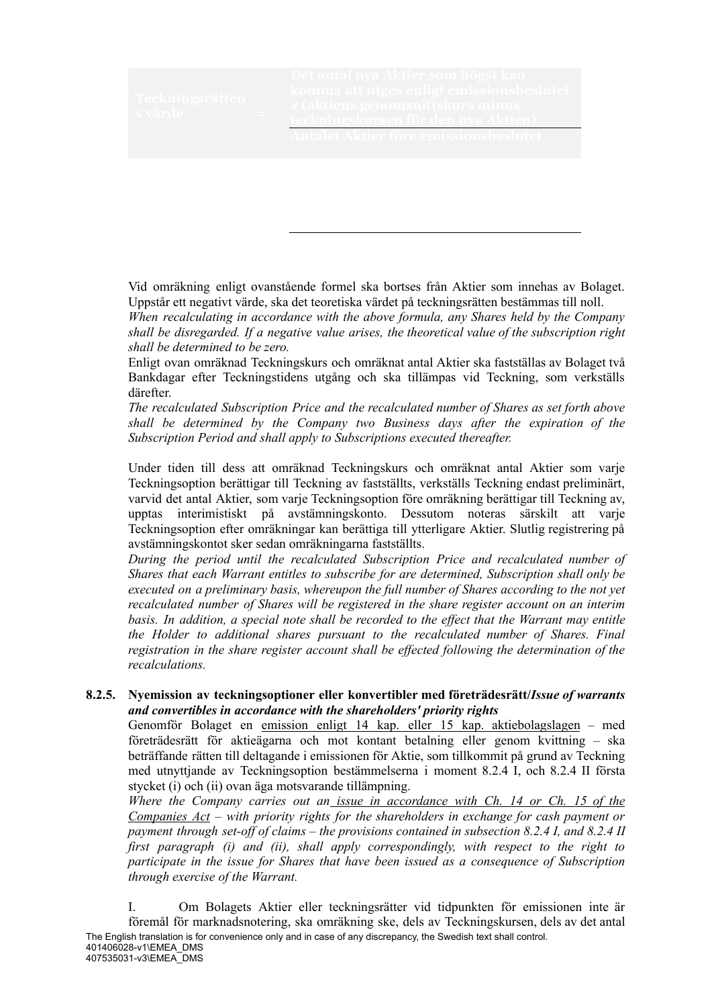Vid omräkning enligt ovanstående formel ska bortses från Aktier som innehas av Bolaget. Uppstår ett negativt värde, ska det teoretiska värdet på teckningsrätten bestämmas till noll.

*the new Share)*

*When recalculating in accordance with the above formula, any Shares held by the Company shall be disregarded. If a negative value arises, the theoretical value of the subscription right shall be determined to be zero.*

Enligt ovan omräknad Teckningskurs och omräknat antal Aktier ska fastställas av Bolaget två Bankdagar efter Teckningstidens utgång och ska tillämpas vid Teckning, som verkställs därefter.

*The recalculated Subscription Price and the recalculated number of Shares as set forth above shall be determined by the Company two Business days after the expiration of the Subscription Period and shall apply to Subscriptions executed thereafter.*

Under tiden till dess att omräknad Teckningskurs och omräknat antal Aktier som varje Teckningsoption berättigar till Teckning av fastställts, verkställs Teckning endast preliminärt, varvid det antal Aktier, som varje Teckningsoption före omräkning berättigar till Teckning av, upptas interimistiskt på avstämningskonto. Dessutom noteras särskilt att varje Teckningsoption efter omräkningar kan berättiga till ytterligare Aktier. Slutlig registrering på avstämningskontot sker sedan omräkningarna fastställts.

*During the period until the recalculated Subscription Price and recalculated number of Shares that each Warrant entitles to subscribe for are determined, Subscription shall only be executed on a preliminary basis, whereupon the full number of Shares according to the not yet recalculated number of Shares will be registered in the share register account on an interim basis. In addition, a special note shall be recorded to the ef ect that the Warrant may entitle the Holder to additional shares pursuant to the recalculated number of Shares. Final registration in the share register account shall be ef ected following the determination of the recalculations.*

# **8.2.5. Nyemission av teckningsoptioner eller konvertibler med företrädesrätt/***Issue of warrants and convertibles in accordance with the shareholders' priority rights*

Genomför Bolaget en emission enligt 14 kap. eller 15 kap. aktiebolagslagen – med företrädesrätt för aktieägarna och mot kontant betalning eller genom kvittning – ska beträffande rätten till deltagande i emissionen för Aktie, som tillkommit på grund av Teckning med utnyttjande av Teckningsoption bestämmelserna i moment 8.2.4 I, och 8.2.4 II första stycket (i) och (ii) ovan äga motsvarande tillämpning.

*Where the Company carries out an issue in accordance with Ch. 14 or Ch. 15 of the Companies Act – with priority rights for the shareholders in exchange for cash payment or payment through set-of of claims – the provisions contained in subsection 8.2.4 I, and 8.2.4 II first paragraph (i) and (ii), shall apply correspondingly, with respect to the right to participate in the issue for Shares that have been issued as a consequence of Subscription through exercise of the Warrant.*

I. Om Bolagets Aktier eller teckningsrätter vid tidpunkten för emissionen inte är föremål för marknadsnotering, ska omräkning ske, dels av Teckningskursen, dels av det antal The English translation is for convenience only and in case of any discrepancy, the Swedish text shall control. 401406028-v1\EMEA\_DMS 407535031-v3\EMEA\_DMS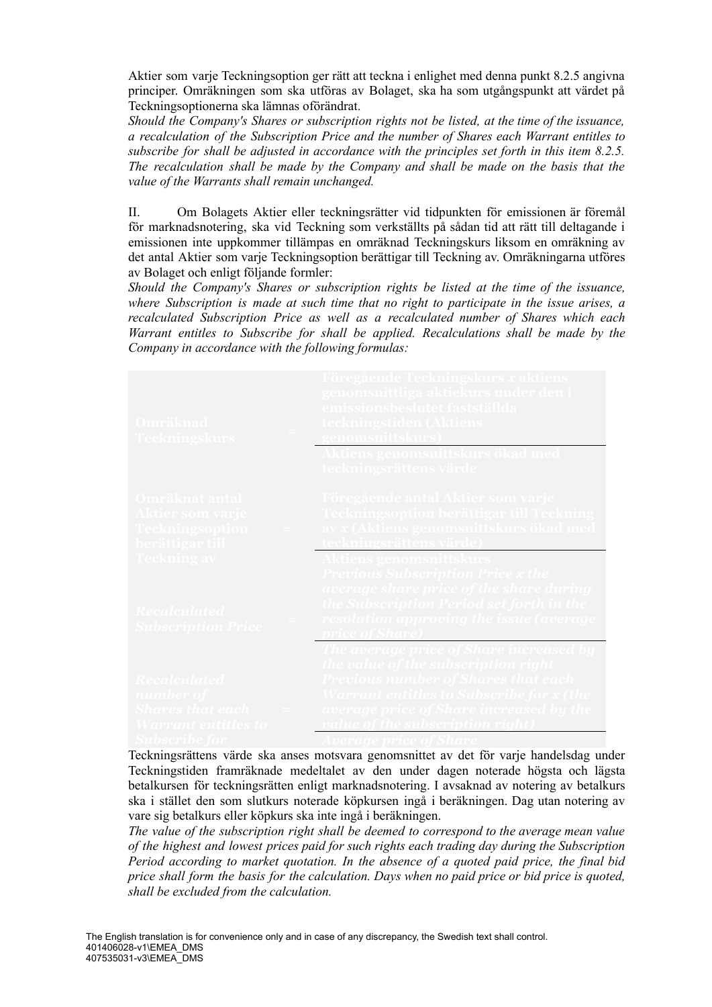Aktier som varje Teckningsoption ger rätt att teckna i enlighet med denna punkt 8.2.5 angivna principer. Omräkningen som ska utföras av Bolaget, ska ha som utgångspunkt att värdet på Teckningsoptionerna ska lämnas oförändrat.

*Should the Company's Shares or subscription rights not be listed, at the time of the issuance, a recalculation of the Subscription Price and the number of Shares each Warrant entitles to subscribe for shall be adjusted in accordance with the principles set forth in this item 8.2.5. The recalculation shall be made by the Company and shall be made on the basis that the value of the Warrants shall remain unchanged.*

II. Om Bolagets Aktier eller teckningsrätter vid tidpunkten för emissionen är föremål för marknadsnotering, ska vid Teckning som verkställts på sådan tid att rätt till deltagande i emissionen inte uppkommer tillämpas en omräknad Teckningskurs liksom en omräkning av det antal Aktier som varje Teckningsoption berättigar till Teckning av. Omräkningarna utföres av Bolaget och enligt följande formler:

*Should the Company's Shares or subscription rights be listed at the time of the issuance, where Subscription is made at such time that no right to participate in the issue arises, a recalculated Subscription Price as well as a recalculated number of Shares which each Warrant entitles to Subscribe for shall be applied. Recalculations shall be made by the Company in accordance with the following formulas:*

| <b>Omräknad</b><br><b>Teckningskurs</b>          | Föregående Teckningskurs x aktiens<br>genomsnittliga aktiekurs under den i<br>emissionsbeslutet fastställda<br>teckningstiden (Aktiens |
|--------------------------------------------------|----------------------------------------------------------------------------------------------------------------------------------------|
|                                                  | <u>Aktiens genomsnittskurs ökad med </u><br>teckningsrättens värde                                                                     |
| Omräknat antal                                   | Föregående antal Aktier som varje                                                                                                      |
| <b>Aktier som varje</b>                          | Teckningsoption berättigar till Teckning                                                                                               |
| <u> Feckningsoption</u>                          | av x (Aktiens genomsnittskurs ökad med                                                                                                 |
| berättigar till -                                |                                                                                                                                        |
| <b>Teckning av</b>                               | Aktiens genomsnittskurs<br><b>Previous Subscription Price x the</b><br>average share price of the share during                         |
| <b>Recalculated</b><br><b>Subscription Price</b> | the Subscription Period set forth in the<br>resolution approving the issue (average                                                    |
|                                                  | <u>The average price of Share increased by </u><br>the value of the subscription right                                                 |
| Recalculated                                     | <b>Previous number of Shares that each</b>                                                                                             |
| number of                                        | <b>Warrant entitles to Subscribe for x (the</b>                                                                                        |
| <b>Shares that each</b>                          | average price of Share increased by the                                                                                                |
| Warrant entitles to                              |                                                                                                                                        |

Teckningsrättens värde ska anses motsvara genomsnittet av det för varje handelsdag under Teckningstiden framräknade medeltalet av den under dagen noterade högsta och lägsta betalkursen för teckningsrätten enligt marknadsnotering. I avsaknad av notering av betalkurs ska i stället den som slutkurs noterade köpkursen ingå i beräkningen. Dag utan notering av vare sig betalkurs eller köpkurs ska inte ingå i beräkningen.

*The value of the subscription right shall be deemed to correspond to the average mean value of the highest and lowest prices paid for such rights each trading day during the Subscription Period according to market quotation. In the absence of a quoted paid price, the final bid price shall form the basis for the calculation. Days when no paid price or bid price is quoted, shall be excluded from the calculation.*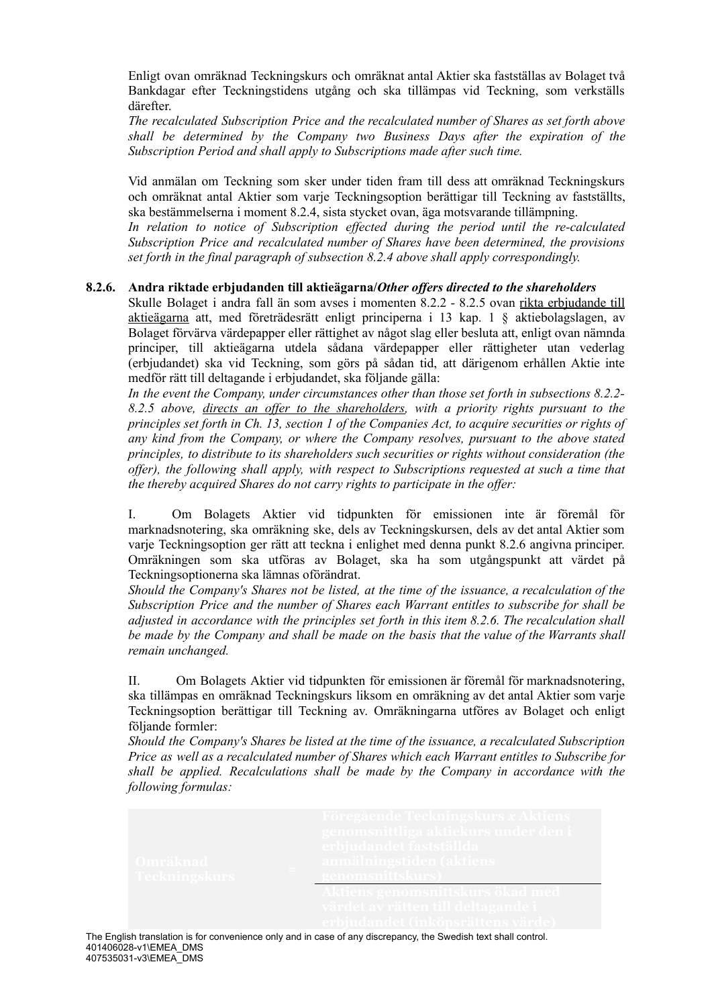Enligt ovan omräknad Teckningskurs och omräknat antal Aktier ska fastställas av Bolaget två Bankdagar efter Teckningstidens utgång och ska tillämpas vid Teckning, som verkställs därefter.

*The recalculated Subscription Price and the recalculated number of Shares as set forth above shall be determined by the Company two Business Days after the expiration of the Subscription Period and shall apply to Subscriptions made after such time.*

Vid anmälan om Teckning som sker under tiden fram till dess att omräknad Teckningskurs och omräknat antal Aktier som varje Teckningsoption berättigar till Teckning av fastställts, ska bestämmelserna i moment 8.2.4, sista stycket ovan, äga motsvarande tillämpning.

*In relation to notice of Subscription ef ected during the period until the re-calculated Subscription Price and recalculated number of Shares have been determined, the provisions set forth in the final paragraph of subsection 8.2.4 above shall apply correspondingly.*

## **8.2.6. Andra riktade erbjudanden till aktieägarna/***Other of ers directed to the shareholders*

Skulle Bolaget i andra fall än som avses i momenten 8.2.2 - 8.2.5 ovan rikta erbjudande till aktieägarna att, med företrädesrätt enligt principerna i 13 kap. 1 § aktiebolagslagen, av Bolaget förvärva värdepapper eller rättighet av något slag eller besluta att, enligt ovan nämnda principer, till aktieägarna utdela sådana värdepapper eller rättigheter utan vederlag (erbjudandet) ska vid Teckning, som görs på sådan tid, att därigenom erhållen Aktie inte medför rätt till deltagande i erbjudandet, ska följande gälla:

*In the event the Company, under circumstances other than those set forth in subsections 8.2.2- 8.2.5 above, directs an of er to the shareholders, with a priority rights pursuant to the principles set forth in Ch. 13, section 1 of the Companies Act, to acquire securities or rights of any kind from the Company, or where the Company resolves, pursuant to the above stated principles, to distribute to its shareholders such securities or rights without consideration (the of er), the following shall apply, with respect to Subscriptions requested at such a time that the thereby acquired Shares do not carry rights to participate in the of er:*

I. Om Bolagets Aktier vid tidpunkten för emissionen inte är föremål för marknadsnotering, ska omräkning ske, dels av Teckningskursen, dels av det antal Aktier som varje Teckningsoption ger rätt att teckna i enlighet med denna punkt 8.2.6 angivna principer. Omräkningen som ska utföras av Bolaget, ska ha som utgångspunkt att värdet på Teckningsoptionerna ska lämnas oförändrat.

*Should the Company's Shares not be listed, at the time of the issuance, a recalculation of the Subscription Price and the number of Shares each Warrant entitles to subscribe for shall be adjusted in accordance with the principles set forth in this item 8.2.6. The recalculation shall be made by the Company and shall be made on the basis that the value of the Warrants shall remain unchanged.*

II. Om Bolagets Aktier vid tidpunkten för emissionen är föremål för marknadsnotering, ska tillämpas en omräknad Teckningskurs liksom en omräkning av det antal Aktier som varje Teckningsoption berättigar till Teckning av. Omräkningarna utföres av Bolaget och enligt följande formler:

*Should the Company's Shares be listed at the time of the issuance, a recalculated Subscription Price as well as a recalculated number of Shares which each Warrant entitles to Subscribe for shall be applied. Recalculations shall be made by the Company in accordance with the following formulas:*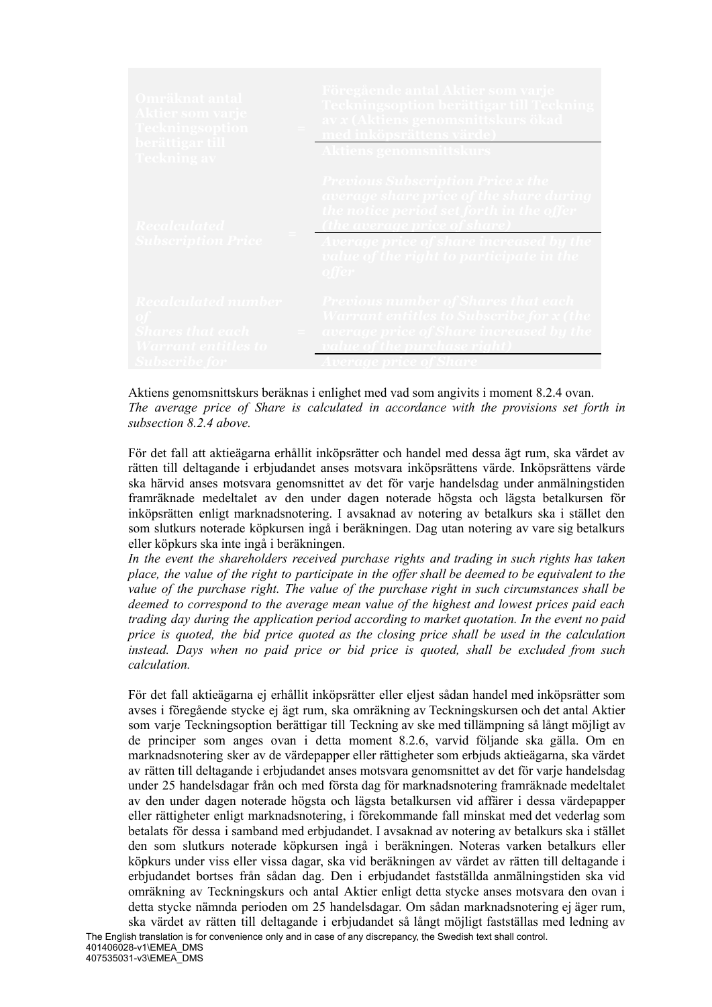| Föregående antal Aktier som varje<br>Teckningsoption berättigar till Teckning<br>av x (Aktiens genomsnittskurs ökad<br>psrättens värde                                               |
|--------------------------------------------------------------------------------------------------------------------------------------------------------------------------------------|
| <b>Aktiens genomsnittskurs</b>                                                                                                                                                       |
| <b>Previous Subscription Price x the</b><br>average share price of the share during<br>the notice period set forth in the offer<br>$_1$ Average price of share increased by the $\,$ |
| value of the right to participate in the<br>offer                                                                                                                                    |
| <b>Previous number of Shares that each</b><br><b>Warrant entitles to Subscribe for x (the</b><br>average price of Share increased by the                                             |
|                                                                                                                                                                                      |

Aktiens genomsnittskurs beräknas i enlighet med vad som angivits i moment 8.2.4 ovan. *The average price of Share is calculated in accordance with the provisions set forth in subsection 8.2.4 above.*

För det fall att aktieägarna erhållit inköpsrätter och handel med dessa ägt rum, ska värdet av rätten till deltagande i erbjudandet anses motsvara inköpsrättens värde. Inköpsrättens värde ska härvid anses motsvara genomsnittet av det för varje handelsdag under anmälningstiden framräknade medeltalet av den under dagen noterade högsta och lägsta betalkursen för inköpsrätten enligt marknadsnotering. I avsaknad av notering av betalkurs ska i stället den som slutkurs noterade köpkursen ingå i beräkningen. Dag utan notering av vare sig betalkurs eller köpkurs ska inte ingå i beräkningen.

*In the event the shareholders received purchase rights and trading in such rights has taken* place, the value of the right to participate in the offer shall be deemed to be equivalent to the *value of the purchase right. The value of the purchase right in such circumstances shall be deemed to correspond to the average mean value of the highest and lowest prices paid each trading day during the application period according to market quotation. In the event no paid price is quoted, the bid price quoted as the closing price shall be used in the calculation instead. Days when no paid price or bid price is quoted, shall be excluded from such calculation.*

För det fall aktieägarna ej erhållit inköpsrätter eller eljest sådan handel med inköpsrätter som avses i föregående stycke ej ägt rum, ska omräkning av Teckningskursen och det antal Aktier som varje Teckningsoption berättigar till Teckning av ske med tillämpning så långt möjligt av de principer som anges ovan i detta moment 8.2.6, varvid följande ska gälla. Om en marknadsnotering sker av de värdepapper eller rättigheter som erbjuds aktieägarna, ska värdet av rätten till deltagande i erbjudandet anses motsvara genomsnittet av det för varje handelsdag under 25 handelsdagar från och med första dag för marknadsnotering framräknade medeltalet av den under dagen noterade högsta och lägsta betalkursen vid affärer i dessa värdepapper eller rättigheter enligt marknadsnotering, i förekommande fall minskat med det vederlag som betalats för dessa i samband med erbjudandet. I avsaknad av notering av betalkurs ska i stället den som slutkurs noterade köpkursen ingå i beräkningen. Noteras varken betalkurs eller köpkurs under viss eller vissa dagar, ska vid beräkningen av värdet av rätten till deltagande i erbjudandet bortses från sådan dag. Den i erbjudandet fastställda anmälningstiden ska vid omräkning av Teckningskurs och antal Aktier enligt detta stycke anses motsvara den ovan i detta stycke nämnda perioden om 25 handelsdagar. Om sådan marknadsnotering ej äger rum, ska värdet av rätten till deltagande i erbjudandet så långt möjligt fastställas med ledning av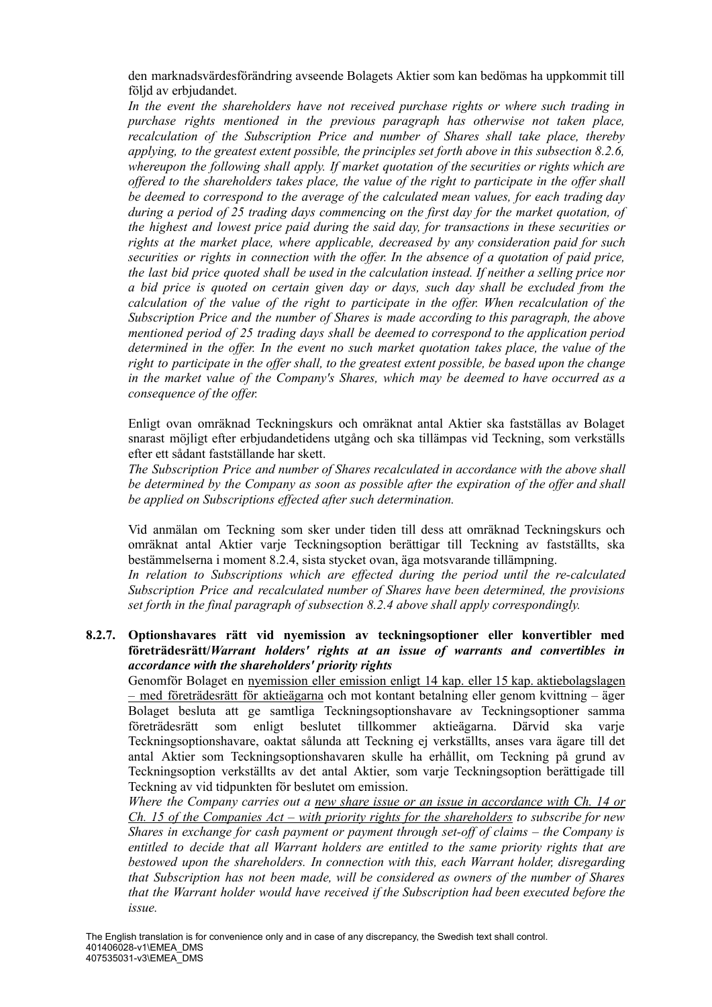den marknadsvärdesförändring avseende Bolagets Aktier som kan bedömas ha uppkommit till följd av erbjudandet.

*In the event the shareholders have not received purchase rights or where such trading in purchase rights mentioned in the previous paragraph has otherwise not taken place, recalculation of the Subscription Price and number of Shares shall take place, thereby applying, to the greatest extent possible, the principles set forth above in this subsection 8.2.6, whereupon the following shall apply. If market quotation of the securities or rights which are* offered to the shareholders takes place, the value of the right to participate in the offer shall *be deemed to correspond to the average of the calculated mean values, for each trading day during a period of 25 trading days commencing on the first day for the market quotation, of the highest and lowest price paid during the said day, for transactions in these securities or rights at the market place, where applicable, decreased by any consideration paid for such securities or rights in connection with the of er. In the absence of a quotation of paid price, the last bid price quoted shall be used in the calculation instead. If neither a selling price nor a bid price is quoted on certain given day or days, such day shall be excluded from the calculation of the value of the right to participate in the of er. When recalculation of the Subscription Price and the number of Shares is made according to this paragraph, the above mentioned period of 25 trading days shall be deemed to correspond to the application period determined in the of er. In the event no such market quotation takes place, the value of the right to participate in the of er shall, to the greatest extent possible, be based upon the change in the market value of the Company's Shares, which may be deemed to have occurred as a consequence of the of er.*

Enligt ovan omräknad Teckningskurs och omräknat antal Aktier ska fastställas av Bolaget snarast möjligt efter erbjudandetidens utgång och ska tillämpas vid Teckning, som verkställs efter ett sådant fastställande har skett.

*The Subscription Price and number of Shares recalculated in accordance with the above shall be determined by the Company as soon as possible after the expiration of the of er and shall be applied on Subscriptions ef ected after such determination.*

Vid anmälan om Teckning som sker under tiden till dess att omräknad Teckningskurs och omräknat antal Aktier varje Teckningsoption berättigar till Teckning av fastställts, ska bestämmelserna i moment 8.2.4, sista stycket ovan, äga motsvarande tillämpning.

*In relation to Subscriptions which are ef ected during the period until the re-calculated Subscription Price and recalculated number of Shares have been determined, the provisions set forth in the final paragraph of subsection 8.2.4 above shall apply correspondingly.*

# **8.2.7. Optionshavares rätt vid nyemission av teckningsoptioner eller konvertibler med företrädesrätt/***Warrant holders' rights at an issue of warrants and convertibles in accordance with the shareholders' priority rights*

Genomför Bolaget en nyemission eller emission enligt 14 kap. eller 15 kap. aktiebolagslagen – med företrädesrätt för aktieägarna och mot kontant betalning eller genom kvittning – äger Bolaget besluta att ge samtliga Teckningsoptionshavare av Teckningsoptioner samma företrädesrätt som enligt beslutet tillkommer aktieägarna. Därvid ska varje Teckningsoptionshavare, oaktat sålunda att Teckning ej verkställts, anses vara ägare till det antal Aktier som Teckningsoptionshavaren skulle ha erhållit, om Teckning på grund av Teckningsoption verkställts av det antal Aktier, som varje Teckningsoption berättigade till Teckning av vid tidpunkten för beslutet om emission.

*Where the Company carries out a new share issue or an issue in accordance with Ch. 14 or Ch. 15 of the Companies Act – with priority rights for the shareholders to subscribe for new Shares in exchange for cash payment or payment through set-of of claims – the Company is entitled to decide that all Warrant holders are entitled to the same priority rights that are bestowed upon the shareholders. In connection with this, each Warrant holder, disregarding that Subscription has not been made, will be considered as owners of the number of Shares that the Warrant holder would have received if the Subscription had been executed before the issue.*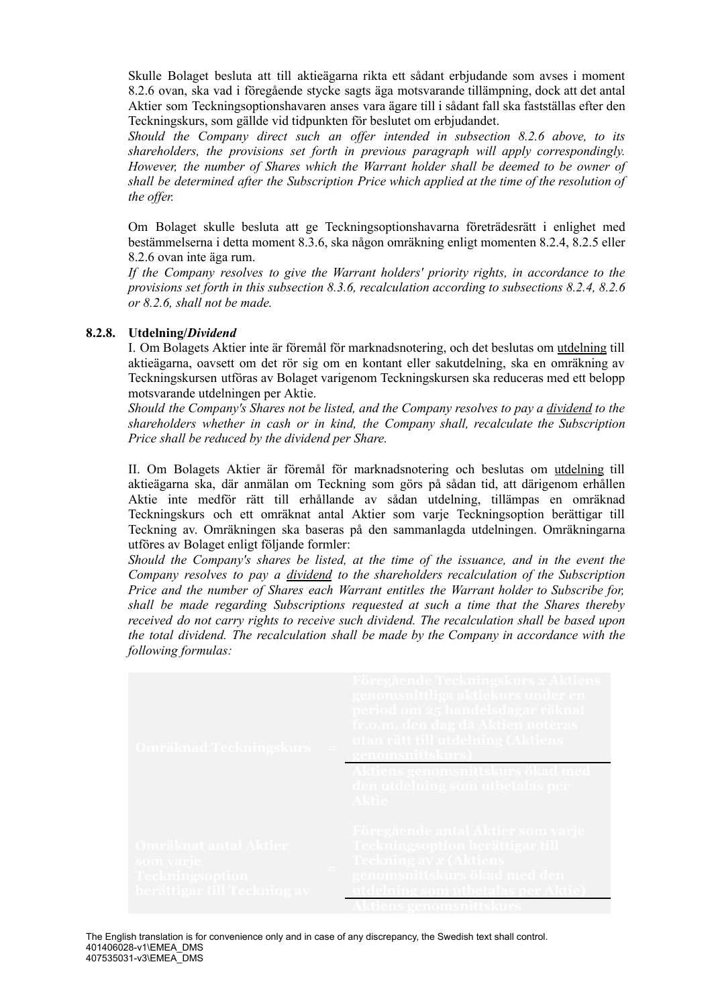Skulle Bolaget besluta att till aktieägarna rikta ett sådant erbjudande som avses i moment 8.2.6 ovan, ska vad i föregående stycke sagts äga motsvarande tillämpning, dock att det antal Aktier som Teckningsoptionshavaren anses vara ägare till i sådant fall ska fastställas efter den Teckningskurs, som gällde vid tidpunkten för beslutet om erbjudandet.

*Should the Company direct such an of er intended in subsection 8.2.6 above, to its shareholders, the provisions set forth in previous paragraph will apply correspondingly. However, the number of Shares which the Warrant holder shall be deemed to be owner of shall be determined after the Subscription Price which applied at the time of the resolution of the offer.* 

Om Bolaget skulle besluta att ge Teckningsoptionshavarna företrädesrätt i enlighet med bestämmelserna i detta moment 8.3.6, ska någon omräkning enligt momenten 8.2.4, 8.2.5 eller 8.2.6 ovan inte äga rum.

*If the Company resolves to give the Warrant holders' priority rights, in accordance to the provisions set forth in this subsection 8.3.6, recalculation according to subsections 8.2.4, 8.2.6 or 8.2.6, shall not be made.*

## **8.2.8. Utdelning/***Dividend*

I. Om Bolagets Aktier inte är föremål för marknadsnotering, och det beslutas om utdelning till aktieägarna, oavsett om det rör sig om en kontant eller sakutdelning, ska en omräkning av Teckningskursen utföras av Bolaget varigenom Teckningskursen ska reduceras med ett belopp motsvarande utdelningen per Aktie.

*Should the Company's Shares not be listed, and the Company resolves to pay a dividend to the shareholders whether in cash or in kind, the Company shall, recalculate the Subscription Price shall be reduced by the dividend per Share.*

II. Om Bolagets Aktier är föremål för marknadsnotering och beslutas om utdelning till aktieägarna ska, där anmälan om Teckning som görs på sådan tid, att därigenom erhållen Aktie inte medför rätt till erhållande av sådan utdelning, tillämpas en omräknad Teckningskurs och ett omräknat antal Aktier som varje Teckningsoption berättigar till Teckning av. Omräkningen ska baseras på den sammanlagda utdelningen. Omräkningarna utföres av Bolaget enligt följande formler:

*Should the Company's shares be listed, at the time of the issuance, and in the event the Company resolves to pay a dividend to the shareholders recalculation of the Subscription Price and the number of Shares each Warrant entitles the Warrant holder to Subscribe for, shall be made regarding Subscriptions requested at such a time that the Shares thereby received do not carry rights to receive such dividend. The recalculation shall be based upon the total dividend. The recalculation shall be made by the Company in accordance with the following formulas:*

| Omräknad Teckningskurs                                                                             | Föregående Teckningskurs x Aktiens<br>genomsnittliga aktiekurs under en<br>period om 25 handelsdagar räknat<br>fr.o.m. den dag då Aktien noteras<br>utan rätt till utdelning (Aktiens<br>genomsnittskurs]      |
|----------------------------------------------------------------------------------------------------|----------------------------------------------------------------------------------------------------------------------------------------------------------------------------------------------------------------|
|                                                                                                    | Aktiens genomsnittskurs ökad med<br>den utdelning som utbetalas per<br><b>Aktie</b>                                                                                                                            |
| <b>Omräknat antal Aktier</b><br>som varje<br><b>Teckningsoption</b><br>berättigar till Teckning av | Föregående antal Aktier som varje<br>Teckningsoption berättigar till<br><b>Teckning av x (Aktiens)</b><br>genomsnittskurs ökad med den<br>utdelning som utbetalas per Aktie)<br><b>Aktiens genomsnittskurs</b> |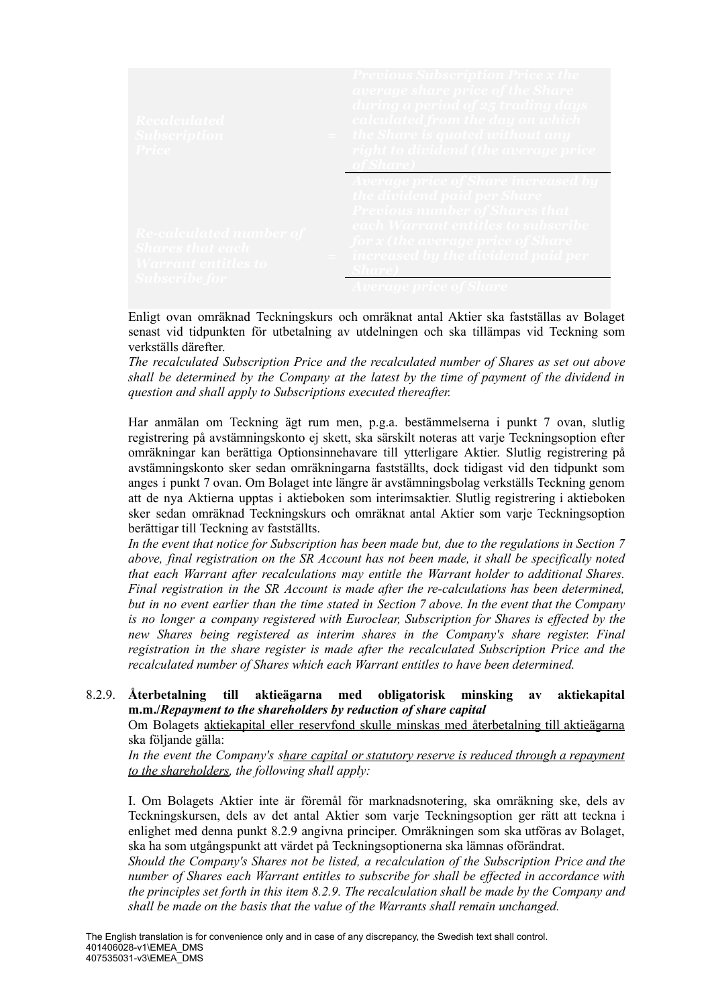| <b>Recalculated</b><br><b>Subscription</b><br><b>Price</b>                              | <b>Previous Subscription Price x the</b><br><b>Example 2</b> average share price of the Share<br>during a period of 25 trading days<br>calculated from the day on which<br>$=$ the Share is quoted without any<br>right to dividend (the average price |
|-----------------------------------------------------------------------------------------|--------------------------------------------------------------------------------------------------------------------------------------------------------------------------------------------------------------------------------------------------------|
| <b>Re-calculated number of</b><br><b>Shares that each</b><br><b>Warrant entitles to</b> | Average price of Share increased by<br>the dividend paid per Share<br><b>Previous number of Shares that</b><br>each Warrant entitles to subscribe<br>for x (the average price of Share<br>$=$ increased by the dividend paid per                       |

Enligt ovan omräknad Teckningskurs och omräknat antal Aktier ska fastställas av Bolaget senast vid tidpunkten för utbetalning av utdelningen och ska tillämpas vid Teckning som verkställs därefter.

*The recalculated Subscription Price and the recalculated number of Shares as set out above shall be determined by the Company at the latest by the time of payment of the dividend in question and shall apply to Subscriptions executed thereafter.*

Har anmälan om Teckning ägt rum men, p.g.a. bestämmelserna i punkt 7 ovan, slutlig registrering på avstämningskonto ej skett, ska särskilt noteras att varje Teckningsoption efter omräkningar kan berättiga Optionsinnehavare till ytterligare Aktier. Slutlig registrering på avstämningskonto sker sedan omräkningarna fastställts, dock tidigast vid den tidpunkt som anges i punkt 7 ovan. Om Bolaget inte längre är avstämningsbolag verkställs Teckning genom att de nya Aktierna upptas i aktieboken som interimsaktier. Slutlig registrering i aktieboken sker sedan omräknad Teckningskurs och omräknat antal Aktier som varje Teckningsoption berättigar till Teckning av fastställts.

*In the event that notice for Subscription has been made but, due to the regulations in Section 7 above, final registration on the SR Account has not been made, it shall be specifically noted that each Warrant after recalculations may entitle the Warrant holder to additional Shares. Final registration in the SR Account is made after the re-calculations has been determined,* but in no event earlier than the time stated in Section 7 above. In the event that the Company *is no longer a company registered with Euroclear, Subscription for Shares is ef ected by the new Shares being registered as interim shares in the Company's share register. Final registration in the share register is made after the recalculated Subscription Price and the recalculated number of Shares which each Warrant entitles to have been determined.*

# 8.2.9. **Återbetalning till aktieägarna med obligatorisk minsking av aktiekapital m.m./***Repayment to the shareholders by reduction of share capital*

Om Bolagets aktiekapital eller reservfond skulle minskas med återbetalning till aktieägarna ska följande gälla:

*In the event the Company's share capital or statutory reserve is reduced through a repayment to the shareholders, the following shall apply:*

I. Om Bolagets Aktier inte är föremål för marknadsnotering, ska omräkning ske, dels av Teckningskursen, dels av det antal Aktier som varje Teckningsoption ger rätt att teckna i enlighet med denna punkt 8.2.9 angivna principer. Omräkningen som ska utföras av Bolaget, ska ha som utgångspunkt att värdet på Teckningsoptionerna ska lämnas oförändrat.

*Should the Company's Shares not be listed, a recalculation of the Subscription Price and the number of Shares each Warrant entitles to subscribe for shall be ef ected in accordance with the principles set forth in this item 8.2.9. The recalculation shall be made by the Company and shall be made on the basis that the value of the Warrants shall remain unchanged.*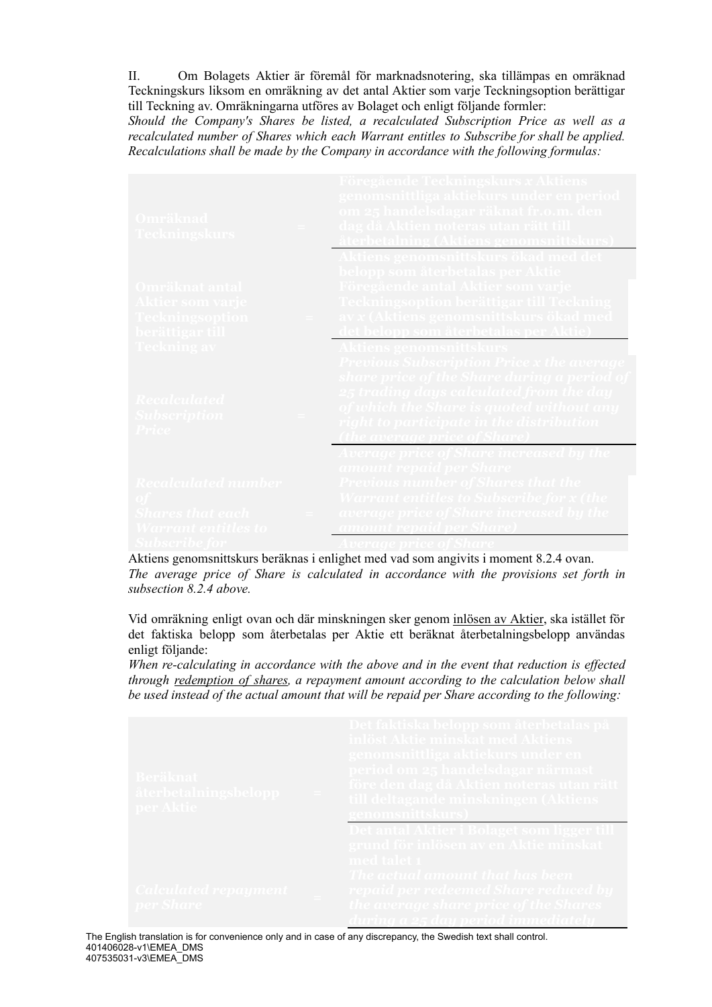II. Om Bolagets Aktier är föremål för marknadsnotering, ska tillämpas en omräknad Teckningskurs liksom en omräkning av det antal Aktier som varje Teckningsoption berättigar till Teckning av. Omräkningarna utföres av Bolaget och enligt följande formler:

*Should the Company's Shares be listed, a recalculated Subscription Price as well as a recalculated number of Shares which each Warrant entitles to Subscribe for shall be applied. Recalculations shall be made by the Company in accordance with the following formulas:*

| <b>Omräknad</b><br><u>Teckningskurs</u>                                            | Föregående Teckningskurs x Aktiens<br>genomsnittliga aktiekurs under en period<br>om 25 handelsdagar räknat fr.o.m. den<br><b>dag då Aktien noteras utan rätt till</b>                                                                                               |
|------------------------------------------------------------------------------------|----------------------------------------------------------------------------------------------------------------------------------------------------------------------------------------------------------------------------------------------------------------------|
| Omräknat antal<br><b>Aktier som varje</b><br>Teckningsoption<br>berättigar till -  | <b>Aktiens genomsnittskurs ökad med de</b><br>belopp som återbetalas per Aktie<br>Föregående antal Aktier som varje<br><b>Teckningsoption berättigar till Teckning</b><br>av x (Aktiens genomsnittskurs ökad med                                                     |
| <b>Teckning av -</b><br><b>Recalculated</b><br><b>Subscription</b><br><i>Price</i> | <b>Aktiens genomsnittskurs</b><br><b>Previous Subscription Price x the average</b><br>share price of the Share during a period of<br>25 trading days calculated from the day<br>of which the Share is quoted without any<br>right to participate in the distribution |
| Recalculated number<br>Shares that each<br>Warrant entitl <u>es to</u>             | Average price of Share increased by the<br><b>amount repaid per Share</b><br><b>Previous number of Shares that the</b><br><b>Warrant entitles to Subscribe for x (the</b><br>average price of Share increased by the<br><sub> </sub> amount repaid per Sh <u>are</u> |

Aktiens genomsnittskurs beräknas i enlighet med vad som angivits i moment 8.2.4 ovan. *The average price of Share is calculated in accordance with the provisions set forth in subsection 8.2.4 above.*

Vid omräkning enligt ovan och där minskningen sker genom inlösen av Aktier, ska istället för det faktiska belopp som återbetalas per Aktie ett beräknat återbetalningsbelopp användas enligt följande:

*When re-calculating in accordance with the above and in the event that reduction is ef ected through redemption of shares, a repayment amount according to the calculation below shall be used instead of the actual amount that will be repaid per Share according to the following:*

| <b>Beräknat</b><br>återbetalningsbelopp<br>per Aktie | Det faktiska belopp som återbetalas på<br>inlöst Aktie minskat med Aktiens<br>genomsnittliga aktiekurs under en<br>period om 25 handelsdagar närmast<br>före den dag då Aktien noteras utan rätt<br>till deltagande minskningen (Aktiens<br>genomsnittskurs          |
|------------------------------------------------------|----------------------------------------------------------------------------------------------------------------------------------------------------------------------------------------------------------------------------------------------------------------------|
| <b>Calculated repayment</b><br>per Share             | Det antal Aktier i Bolaget som ligger till<br>grund för inlösen av en Aktie minskat<br>med talet 1<br>The actual amount that has <u>been</u><br>repaid per redeemed Share reduced by<br>the average share price of the Shares<br>-durina a 25 day period immediately |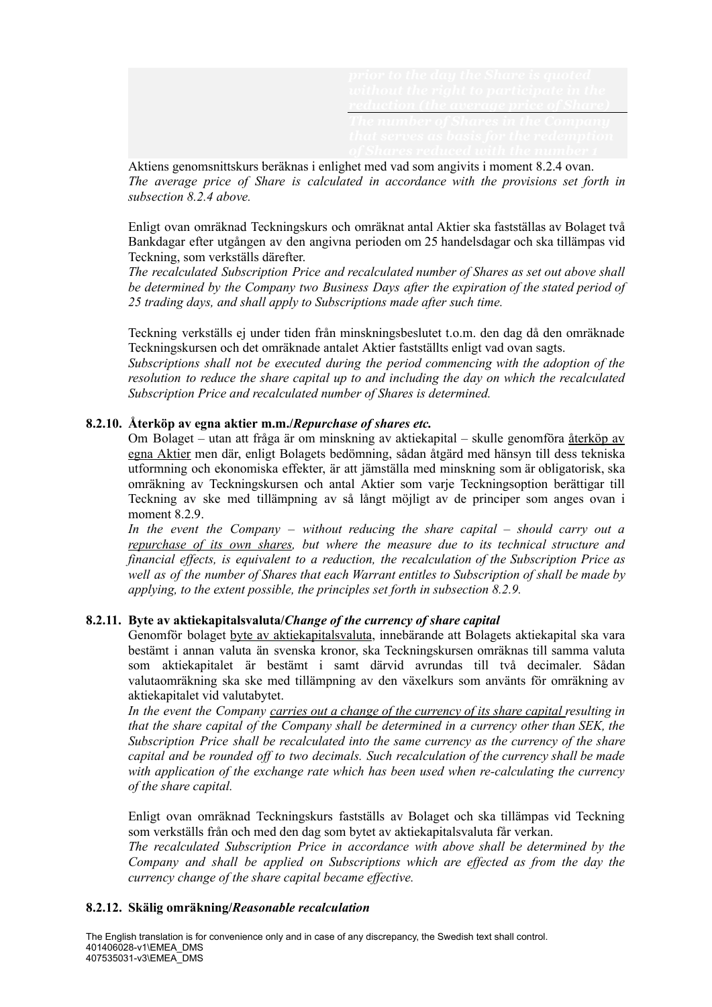Aktiens genomsnittskurs beräknas i enlighet med vad som angivits i moment 8.2.4 ovan. *The average price of Share is calculated in accordance with the provisions set forth in subsection 8.2.4 above.*

Enligt ovan omräknad Teckningskurs och omräknat antal Aktier ska fastställas av Bolaget två Bankdagar efter utgången av den angivna perioden om 25 handelsdagar och ska tillämpas vid Teckning, som verkställs därefter.

*The recalculated Subscription Price and recalculated number of Shares as set out above shall be determined by the Company two Business Days after the expiration of the stated period of 25 trading days, and shall apply to Subscriptions made after such time.*

Teckning verkställs ej under tiden från minskningsbeslutet t.o.m. den dag då den omräknade Teckningskursen och det omräknade antalet Aktier fastställts enligt vad ovan sagts.

*Subscriptions shall not be executed during the period commencing with the adoption of the resolution to reduce the share capital up to and including the day on which the recalculated Subscription Price and recalculated number of Shares is determined.*

#### **8.2.10. Återköp av egna aktier m.m./***Repurchase of shares etc.*

Om Bolaget – utan att fråga är om minskning av aktiekapital – skulle genomföra återköp av egna Aktier men där, enligt Bolagets bedömning, sådan åtgärd med hänsyn till dess tekniska utformning och ekonomiska effekter, är att jämställa med minskning som är obligatorisk, ska omräkning av Teckningskursen och antal Aktier som varje Teckningsoption berättigar till Teckning av ske med tillämpning av så långt möjligt av de principer som anges ovan i moment 8.2.9.

*In the event the Company – without reducing the share capital – should carry out a repurchase of its own shares, but where the measure due to its technical structure and financial ef ects, is equivalent to a reduction, the recalculation of the Subscription Price as well as of the number of Shares that each Warrant entitles to Subscription of shall be made by applying, to the extent possible, the principles set forth in subsection 8.2.9.*

#### **8.2.11. Byte av aktiekapitalsvaluta/***Change of the currency of share capital*

Genomför bolaget byte av aktiekapitalsvaluta, innebärande att Bolagets aktiekapital ska vara bestämt i annan valuta än svenska kronor, ska Teckningskursen omräknas till samma valuta som aktiekapitalet är bestämt i samt därvid avrundas till två decimaler. Sådan valutaomräkning ska ske med tillämpning av den växelkurs som använts för omräkning av aktiekapitalet vid valutabytet.

*In the event the Company carries out a change of the currency of its share capital resulting in that the share capital of the Company shall be determined in a currency other than SEK, the Subscription Price shall be recalculated into the same currency as the currency of the share capital and be rounded of to two decimals. Such recalculation of the currency shall be made with application of the exchange rate which has been used when re-calculating the currency of the share capital.*

Enligt ovan omräknad Teckningskurs fastställs av Bolaget och ska tillämpas vid Teckning som verkställs från och med den dag som bytet av aktiekapitalsvaluta får verkan.

*The recalculated Subscription Price in accordance with above shall be determined by the Company and shall be applied on Subscriptions which are ef ected as from the day the currency change of the share capital became ef ective.*

## **8.2.12. Skälig omräkning/***Reasonable recalculation*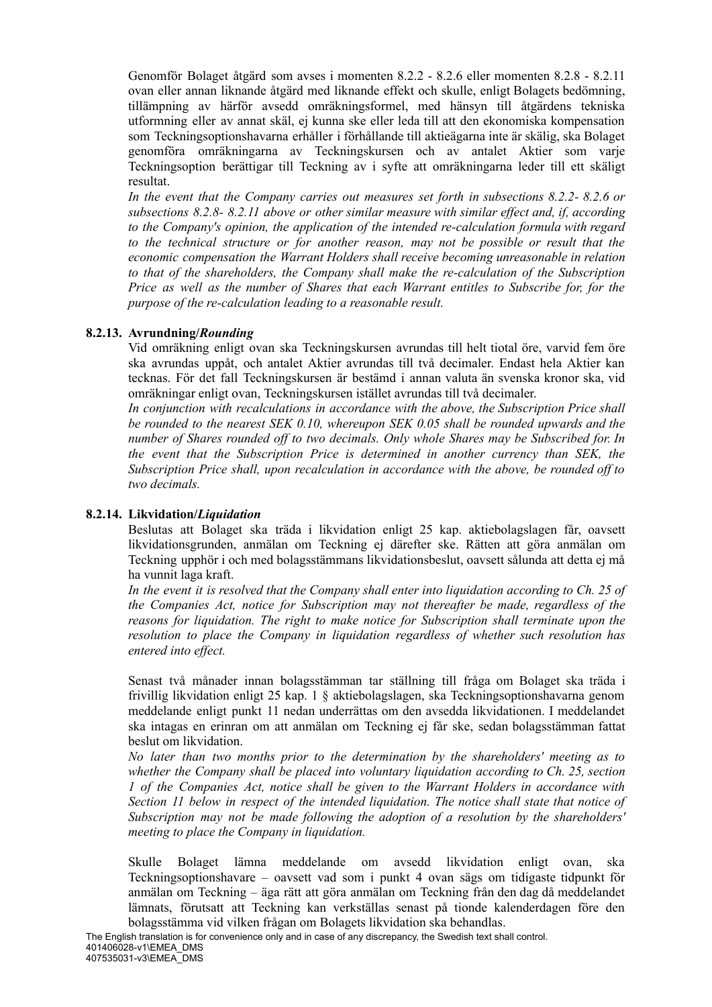Genomför Bolaget åtgärd som avses i momenten 8.2.2 - 8.2.6 eller momenten 8.2.8 - 8.2.11 ovan eller annan liknande åtgärd med liknande effekt och skulle, enligt Bolagets bedömning, tillämpning av härför avsedd omräkningsformel, med hänsyn till åtgärdens tekniska utformning eller av annat skäl, ej kunna ske eller leda till att den ekonomiska kompensation som Teckningsoptionshavarna erhåller i förhållande till aktieägarna inte är skälig, ska Bolaget genomföra omräkningarna av Teckningskursen och av antalet Aktier som varje Teckningsoption berättigar till Teckning av i syfte att omräkningarna leder till ett skäligt resultat.

*In the event that the Company carries out measures set forth in subsections 8.2.2- 8.2.6 or subsections 8.2.8- 8.2.11 above or other similar measure with similar ef ect and, if, according to the Company's opinion, the application of the intended re-calculation formula with regard to the technical structure or for another reason, may not be possible or result that the economic compensation the Warrant Holders shall receive becoming unreasonable in relation to that of the shareholders, the Company shall make the re-calculation of the Subscription Price as well as the number of Shares that each Warrant entitles to Subscribe for, for the purpose of the re-calculation leading to a reasonable result.*

## **8.2.13. Avrundning/***Rounding*

Vid omräkning enligt ovan ska Teckningskursen avrundas till helt tiotal öre, varvid fem öre ska avrundas uppåt, och antalet Aktier avrundas till två decimaler. Endast hela Aktier kan tecknas. För det fall Teckningskursen är bestämd i annan valuta än svenska kronor ska, vid omräkningar enligt ovan, Teckningskursen istället avrundas till två decimaler.

*In conjunction with recalculations in accordance with the above, the Subscription Price shall be rounded to the nearest SEK 0.10, whereupon SEK 0.05 shall be rounded upwards and the number of Shares rounded of to two decimals. Only whole Shares may be Subscribed for. In the event that the Subscription Price is determined in another currency than SEK, the Subscription Price shall, upon recalculation in accordance with the above, be rounded of to two decimals.*

#### **8.2.14. Likvidation/***Liquidation*

Beslutas att Bolaget ska träda i likvidation enligt 25 kap. aktiebolagslagen får, oavsett likvidationsgrunden, anmälan om Teckning ej därefter ske. Rätten att göra anmälan om Teckning upphör i och med bolagsstämmans likvidationsbeslut, oavsett sålunda att detta ej må ha vunnit laga kraft.

*In the event it is resolved that the Company shall enter into liquidation according to Ch. 25 of the Companies Act, notice for Subscription may not thereafter be made, regardless of the reasons for liquidation. The right to make notice for Subscription shall terminate upon the resolution to place the Company in liquidation regardless of whether such resolution has*  $e$ *ntered into effect*.

Senast två månader innan bolagsstämman tar ställning till fråga om Bolaget ska träda i frivillig likvidation enligt 25 kap. 1 § aktiebolagslagen, ska Teckningsoptionshavarna genom meddelande enligt punkt 11 nedan underrättas om den avsedda likvidationen. I meddelandet ska intagas en erinran om att anmälan om Teckning ej får ske, sedan bolagsstämman fattat beslut om likvidation.

*No later than two months prior to the determination by the shareholders' meeting as to whether the Company shall be placed into voluntary liquidation according to Ch. 25, section 1 of the Companies Act, notice shall be given to the Warrant Holders in accordance with Section 11 below in respect of the intended liquidation. The notice shall state that notice of Subscription may not be made following the adoption of a resolution by the shareholders' meeting to place the Company in liquidation.*

Skulle Bolaget lämna meddelande om avsedd likvidation enligt ovan, ska Teckningsoptionshavare – oavsett vad som i punkt 4 ovan sägs om tidigaste tidpunkt för anmälan om Teckning – äga rätt att göra anmälan om Teckning från den dag då meddelandet lämnats, förutsatt att Teckning kan verkställas senast på tionde kalenderdagen före den bolagsstämma vid vilken frågan om Bolagets likvidation ska behandlas.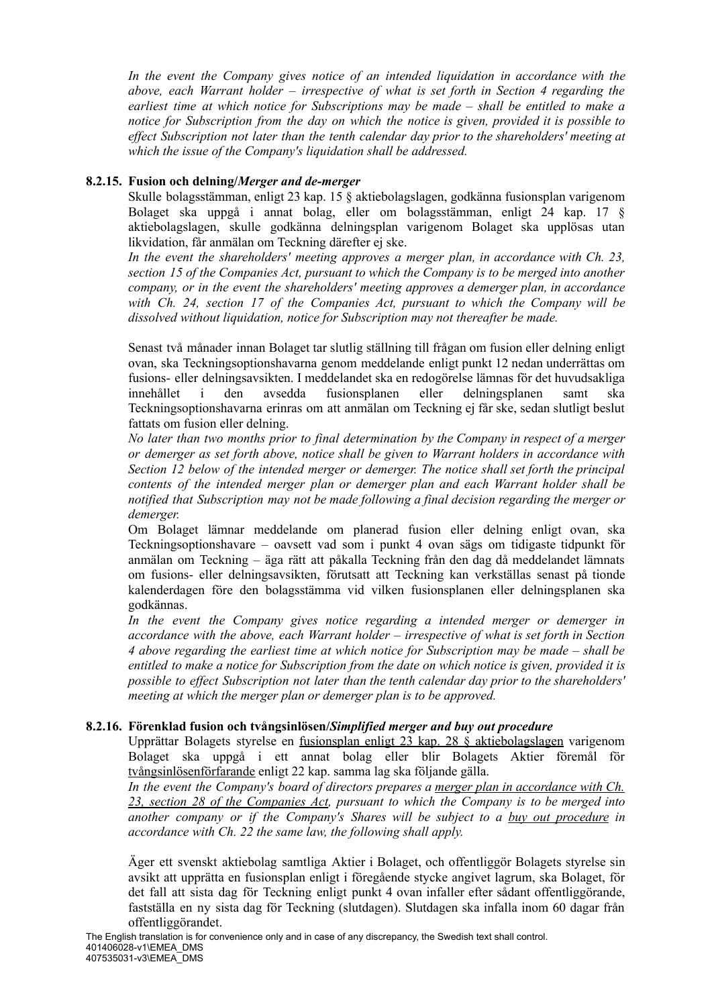*In the event the Company gives notice of an intended liquidation in accordance with the above, each Warrant holder – irrespective of what is set forth in Section 4 regarding the earliest time at which notice for Subscriptions may be made – shall be entitled to make a notice for Subscription from the day on which the notice is given, provided it is possible to ef ect Subscription not later than the tenth calendar day prior to the shareholders' meeting at which the issue of the Company's liquidation shall be addressed.*

# **8.2.15. Fusion och delning/***Merger and de-merger*

Skulle bolagsstämman, enligt 23 kap. 15 § aktiebolagslagen, godkänna fusionsplan varigenom Bolaget ska uppgå i annat bolag, eller om bolagsstämman, enligt 24 kap. 17 § aktiebolagslagen, skulle godkänna delningsplan varigenom Bolaget ska upplösas utan likvidation, får anmälan om Teckning därefter ej ske.

*In the event the shareholders' meeting approves a merger plan, in accordance with Ch. 23, section 15 of the Companies Act, pursuant to which the Company is to be merged into another company, or in the event the shareholders' meeting approves a demerger plan, in accordance with Ch. 24, section 17 of the Companies Act, pursuant to which the Company will be dissolved without liquidation, notice for Subscription may not thereafter be made.*

Senast två månader innan Bolaget tar slutlig ställning till frågan om fusion eller delning enligt ovan, ska Teckningsoptionshavarna genom meddelande enligt punkt 12 nedan underrättas om fusions- eller delningsavsikten. I meddelandet ska en redogörelse lämnas för det huvudsakliga innehållet i den avsedda fusionsplanen eller delningsplanen samt ska Teckningsoptionshavarna erinras om att anmälan om Teckning ej får ske, sedan slutligt beslut fattats om fusion eller delning.

*No later than two months prior to final determination by the Company in respect of a merger or demerger as set forth above, notice shall be given to Warrant holders in accordance with Section 12 below of the intended merger or demerger. The notice shall set forth the principal contents of the intended merger plan or demerger plan and each Warrant holder shall be notified that Subscription may not be made following a final decision regarding the merger or demerger.*

Om Bolaget lämnar meddelande om planerad fusion eller delning enligt ovan, ska Teckningsoptionshavare – oavsett vad som i punkt 4 ovan sägs om tidigaste tidpunkt för anmälan om Teckning – äga rätt att påkalla Teckning från den dag då meddelandet lämnats om fusions- eller delningsavsikten, förutsatt att Teckning kan verkställas senast på tionde kalenderdagen före den bolagsstämma vid vilken fusionsplanen eller delningsplanen ska godkännas.

*In the event the Company gives notice regarding a intended merger or demerger in accordance with the above, each Warrant holder – irrespective of what is set forth in Section 4 above regarding the earliest time at which notice for Subscription may be made – shall be entitled to make a notice for Subscription from the date on which notice is given, provided it is possible to ef ect Subscription not later than the tenth calendar day prior to the shareholders' meeting at which the merger plan or demerger plan is to be approved.*

## **8.2.16. Förenklad fusion och tvångsinlösen/***Simplified merger and buy out procedure*

Upprättar Bolagets styrelse en fusionsplan enligt 23 kap. 28 § aktiebolagslagen varigenom Bolaget ska uppgå i ett annat bolag eller blir Bolagets Aktier föremål för tvångsinlösenförfarande enligt 22 kap. samma lag ska följande gälla.

*In the event the Company's board of directors prepares a merger plan in accordance with Ch. 23, section 28 of the Companies Act, pursuant to which the Company is to be merged into another company or if the Company's Shares will be subject to a buy out procedure in accordance with Ch. 22 the same law, the following shall apply.*

Äger ett svenskt aktiebolag samtliga Aktier i Bolaget, och offentliggör Bolagets styrelse sin avsikt att upprätta en fusionsplan enligt i föregående stycke angivet lagrum, ska Bolaget, för det fall att sista dag för Teckning enligt punkt 4 ovan infaller efter sådant offentliggörande, fastställa en ny sista dag för Teckning (slutdagen). Slutdagen ska infalla inom 60 dagar från offentliggörandet.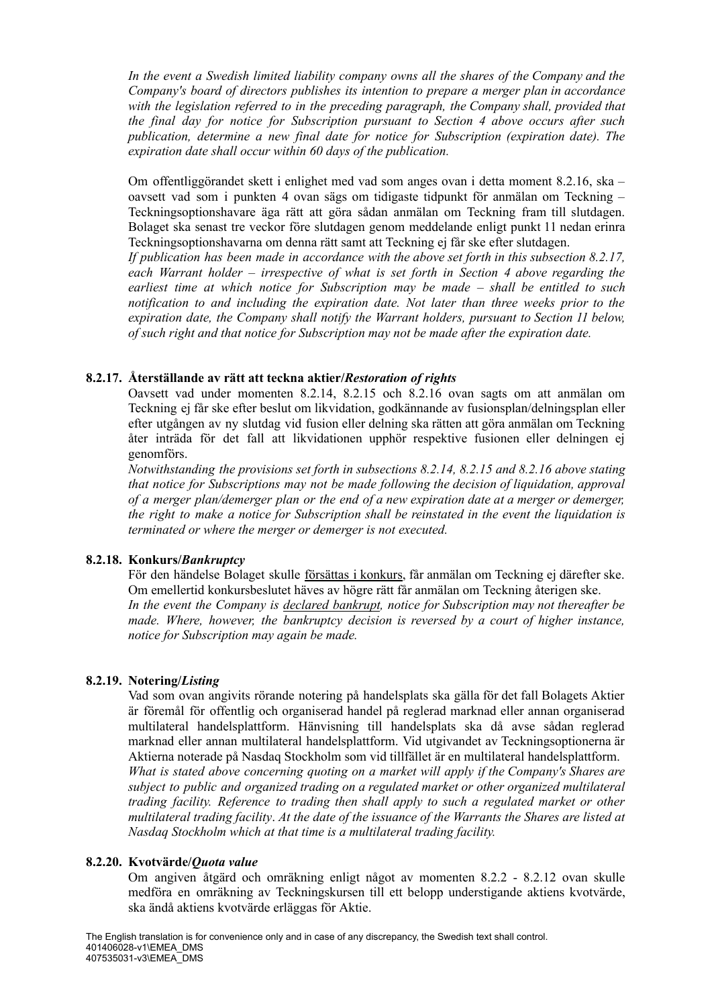*In the event a Swedish limited liability company owns all the shares of the Company and the Company's board of directors publishes its intention to prepare a merger plan in accordance with the legislation referred to in the preceding paragraph, the Company shall, provided that the final day for notice for Subscription pursuant to Section 4 above occurs after such publication, determine a new final date for notice for Subscription (expiration date). The expiration date shall occur within 60 days of the publication.*

Om offentliggörandet skett i enlighet med vad som anges ovan i detta moment 8.2.16, ska – oavsett vad som i punkten 4 ovan sägs om tidigaste tidpunkt för anmälan om Teckning – Teckningsoptionshavare äga rätt att göra sådan anmälan om Teckning fram till slutdagen. Bolaget ska senast tre veckor före slutdagen genom meddelande enligt punkt 11 nedan erinra Teckningsoptionshavarna om denna rätt samt att Teckning ej får ske efter slutdagen.

*If publication has been made in accordance with the above set forth in this subsection 8.2.17, each Warrant holder – irrespective of what is set forth in Section 4 above regarding the earliest time at which notice for Subscription may be made – shall be entitled to such notification to and including the expiration date. Not later than three weeks prior to the expiration date, the Company shall notify the Warrant holders, pursuant to Section 11 below, of such right and that notice for Subscription may not be made after the expiration date.*

# **8.2.17. Återställande av rätt att teckna aktier/***Restoration of rights*

Oavsett vad under momenten 8.2.14, 8.2.15 och 8.2.16 ovan sagts om att anmälan om Teckning ej får ske efter beslut om likvidation, godkännande av fusionsplan/delningsplan eller efter utgången av ny slutdag vid fusion eller delning ska rätten att göra anmälan om Teckning åter inträda för det fall att likvidationen upphör respektive fusionen eller delningen ej genomförs.

*Notwithstanding the provisions set forth in subsections 8.2.14, 8.2.15 and 8.2.16 above stating that notice for Subscriptions may not be made following the decision of liquidation, approval of a merger plan/demerger plan or the end of a new expiration date at a merger or demerger, the right to make a notice for Subscription shall be reinstated in the event the liquidation is terminated or where the merger or demerger is not executed.*

## **8.2.18. Konkurs/***Bankruptcy*

För den händelse Bolaget skulle försättas i konkurs, får anmälan om Teckning ej därefter ske. Om emellertid konkursbeslutet häves av högre rätt får anmälan om Teckning återigen ske. *In the event the Company is declared bankrupt, notice for Subscription may not thereafter be made. Where, however, the bankruptcy decision is reversed by a court of higher instance, notice for Subscription may again be made.*

## **8.2.19. Notering/***Listing*

Vad som ovan angivits rörande notering på handelsplats ska gälla för det fall Bolagets Aktier är föremål för offentlig och organiserad handel på reglerad marknad eller annan organiserad multilateral handelsplattform. Hänvisning till handelsplats ska då avse sådan reglerad marknad eller annan multilateral handelsplattform. Vid utgivandet av Teckningsoptionerna är Aktierna noterade på Nasdaq Stockholm som vid tillfället är en multilateral handelsplattform. *What is stated above concerning quoting on a market will apply if the Company's Shares are subject to public and organized trading on a regulated market or other organized multilateral trading facility. Reference to trading then shall apply to such a regulated market or other multilateral trading facility*. *At the date of the issuance of the Warrants the Shares are listed at Nasdaq Stockholm which at that time is a multilateral trading facility.*

## **8.2.20. Kvotvärde/***Quota value*

Om angiven åtgärd och omräkning enligt något av momenten 8.2.2 - 8.2.12 ovan skulle medföra en omräkning av Teckningskursen till ett belopp understigande aktiens kvotvärde, ska ändå aktiens kvotvärde erläggas för Aktie.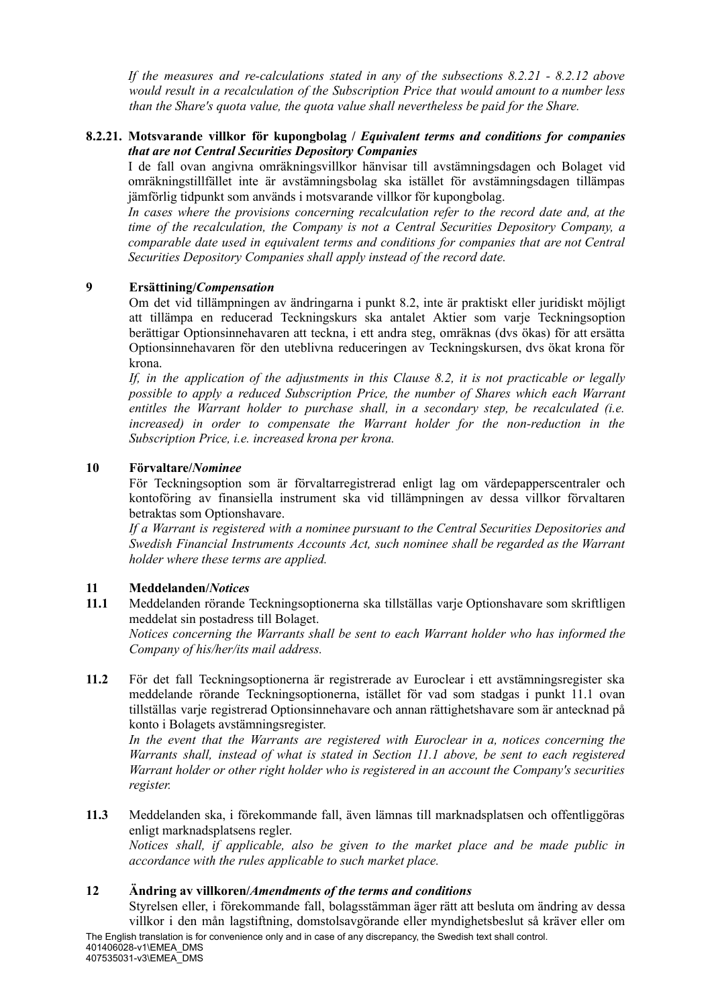*If the measures and re-calculations stated in any of the subsections 8.2.21 - 8.2.12 above would result in a recalculation of the Subscription Price that would amount to a number less than the Share's quota value, the quota value shall nevertheless be paid for the Share.*

# **8.2.21. Motsvarande villkor för kupongbolag /** *Equivalent terms and conditions for companies that are not Central Securities Depository Companies*

I de fall ovan angivna omräkningsvillkor hänvisar till avstämningsdagen och Bolaget vid omräkningstillfället inte är avstämningsbolag ska istället för avstämningsdagen tillämpas jämförlig tidpunkt som används i motsvarande villkor för kupongbolag.

*In cases where the provisions concerning recalculation refer to the record date and, at the time of the recalculation, the Company is not a Central Securities Depository Company, a comparable date used in equivalent terms and conditions for companies that are not Central Securities Depository Companies shall apply instead of the record date.*

# **9 Ersättining/***Compensation*

Om det vid tillämpningen av ändringarna i punkt 8.2, inte är praktiskt eller juridiskt möjligt att tillämpa en reducerad Teckningskurs ska antalet Aktier som varje Teckningsoption berättigar Optionsinnehavaren att teckna, i ett andra steg, omräknas (dvs ökas) för att ersätta Optionsinnehavaren för den uteblivna reduceringen av Teckningskursen, dvs ökat krona för krona.

*If, in the application of the adjustments in this Clause 8.2, it is not practicable or legally possible to apply a reduced Subscription Price, the number of Shares which each Warrant entitles the Warrant holder to purchase shall, in a secondary step, be recalculated (i.e. increased) in order to compensate the Warrant holder for the non-reduction in the Subscription Price, i.e. increased krona per krona.*

# **10 Förvaltare/***Nominee*

För Teckningsoption som är förvaltarregistrerad enligt lag om värdepapperscentraler och kontoföring av finansiella instrument ska vid tillämpningen av dessa villkor förvaltaren betraktas som Optionshavare.

*If a Warrant is registered with a nominee pursuant to the Central Securities Depositories and Swedish Financial Instruments Accounts Act, such nominee shall be regarded as the Warrant holder where these terms are applied.*

# **11 Meddelanden/***Notices*

**11.1** Meddelanden rörande Teckningsoptionerna ska tillställas varje Optionshavare som skriftligen meddelat sin postadress till Bolaget.

*Notices concerning the Warrants shall be sent to each Warrant holder who has informed the Company of his/her/its mail address.*

**11.2** För det fall Teckningsoptionerna är registrerade av Euroclear i ett avstämningsregister ska meddelande rörande Teckningsoptionerna, istället för vad som stadgas i punkt 11.1 ovan tillställas varje registrerad Optionsinnehavare och annan rättighetshavare som är antecknad på konto i Bolagets avstämningsregister.

*In the event that the Warrants are registered with Euroclear in a, notices concerning the Warrants shall, instead of what is stated in Section 11.1 above, be sent to each registered Warrant holder or other right holder who is registered in an account the Company's securities register.*

**11.3** Meddelanden ska, i förekommande fall, även lämnas till marknadsplatsen och offentliggöras enligt marknadsplatsens regler. *Notices shall, if applicable, also be given to the market place and be made public in accordance with the rules applicable to such market place.*

## **12 Ändring av villkoren/***Amendments of the terms and conditions*

Styrelsen eller, i förekommande fall, bolagsstämman äger rätt att besluta om ändring av dessa villkor i den mån lagstiftning, domstolsavgörande eller myndighetsbeslut så kräver eller om The English translation is for convenience only and in case of any discrepancy, the Swedish text shall control.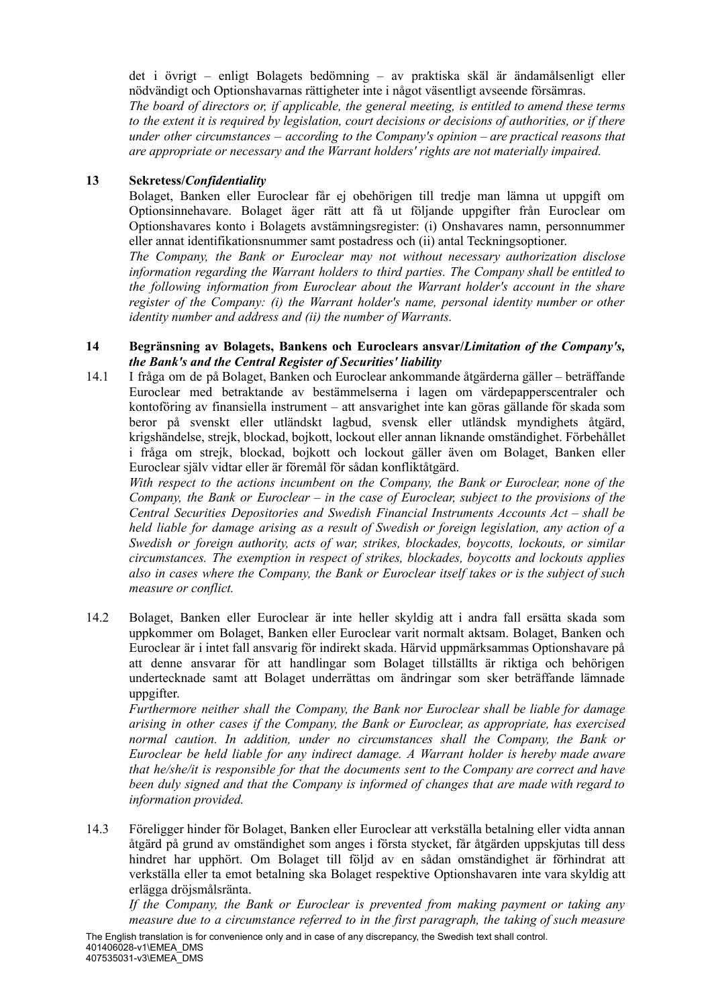det i övrigt – enligt Bolagets bedömning – av praktiska skäl är ändamålsenligt eller nödvändigt och Optionshavarnas rättigheter inte i något väsentligt avseende försämras.

*The board of directors or, if applicable, the general meeting, is entitled to amend these terms to the extent it is required by legislation, court decisions or decisions of authorities, or if there under other circumstances – according to the Company's opinion – are practical reasons that are appropriate or necessary and the Warrant holders' rights are not materially impaired.*

# **13 Sekretess/***Confidentiality*

Bolaget, Banken eller Euroclear får ej obehörigen till tredje man lämna ut uppgift om Optionsinnehavare. Bolaget äger rätt att få ut följande uppgifter från Euroclear om Optionshavares konto i Bolagets avstämningsregister: (i) Onshavares namn, personnummer eller annat identifikationsnummer samt postadress och (ii) antal Teckningsoptioner.

*The Company, the Bank or Euroclear may not without necessary authorization disclose information regarding the Warrant holders to third parties. The Company shall be entitled to the following information from Euroclear about the Warrant holder's account in the share register of the Company: (i) the Warrant holder's name, personal identity number or other identity number and address and (ii) the number of Warrants.*

## **14 Begränsning av Bolagets, Bankens och Euroclears ansvar/***Limitation of the Company's, the Bank's and the Central Register of Securities' liability*

14.1 I fråga om de på Bolaget, Banken och Euroclear ankommande åtgärderna gäller – beträffande Euroclear med betraktande av bestämmelserna i lagen om värdepapperscentraler och kontoföring av finansiella instrument – att ansvarighet inte kan göras gällande för skada som beror på svenskt eller utländskt lagbud, svensk eller utländsk myndighets åtgärd, krigshändelse, strejk, blockad, bojkott, lockout eller annan liknande omständighet. Förbehållet i fråga om strejk, blockad, bojkott och lockout gäller även om Bolaget, Banken eller Euroclear själv vidtar eller är föremål för sådan konfliktåtgärd.

*With respect to the actions incumbent on the Company, the Bank or Euroclear, none of the Company, the Bank or Euroclear – in the case of Euroclear, subject to the provisions of the Central Securities Depositories and Swedish Financial Instruments Accounts Act – shall be held liable for damage arising as a result of Swedish or foreign legislation, any action of a Swedish or foreign authority, acts of war, strikes, blockades, boycotts, lockouts, or similar circumstances. The exemption in respect of strikes, blockades, boycotts and lockouts applies also in cases where the Company, the Bank or Euroclear itself takes or is the subject of such measure or conflict.*

14.2 Bolaget, Banken eller Euroclear är inte heller skyldig att i andra fall ersätta skada som uppkommer om Bolaget, Banken eller Euroclear varit normalt aktsam. Bolaget, Banken och Euroclear är i intet fall ansvarig för indirekt skada. Härvid uppmärksammas Optionshavare på att denne ansvarar för att handlingar som Bolaget tillställts är riktiga och behörigen undertecknade samt att Bolaget underrättas om ändringar som sker beträffande lämnade uppgifter.

*Furthermore neither shall the Company, the Bank nor Euroclear shall be liable for damage arising in other cases if the Company, the Bank or Euroclear, as appropriate, has exercised normal caution. In addition, under no circumstances shall the Company, the Bank or Euroclear be held liable for any indirect damage. A Warrant holder is hereby made aware that he/she/it is responsible for that the documents sent to the Company are correct and have been duly signed and that the Company is informed of changes that are made with regard to information provided.*

14.3 Föreligger hinder för Bolaget, Banken eller Euroclear att verkställa betalning eller vidta annan åtgärd på grund av omständighet som anges i första stycket, får åtgärden uppskjutas till dess hindret har upphört. Om Bolaget till följd av en sådan omständighet är förhindrat att verkställa eller ta emot betalning ska Bolaget respektive Optionshavaren inte vara skyldig att erlägga dröjsmålsränta.

*If the Company, the Bank or Euroclear is prevented from making payment or taking any measure due to a circumstance referred to in the first paragraph, the taking of such measure*